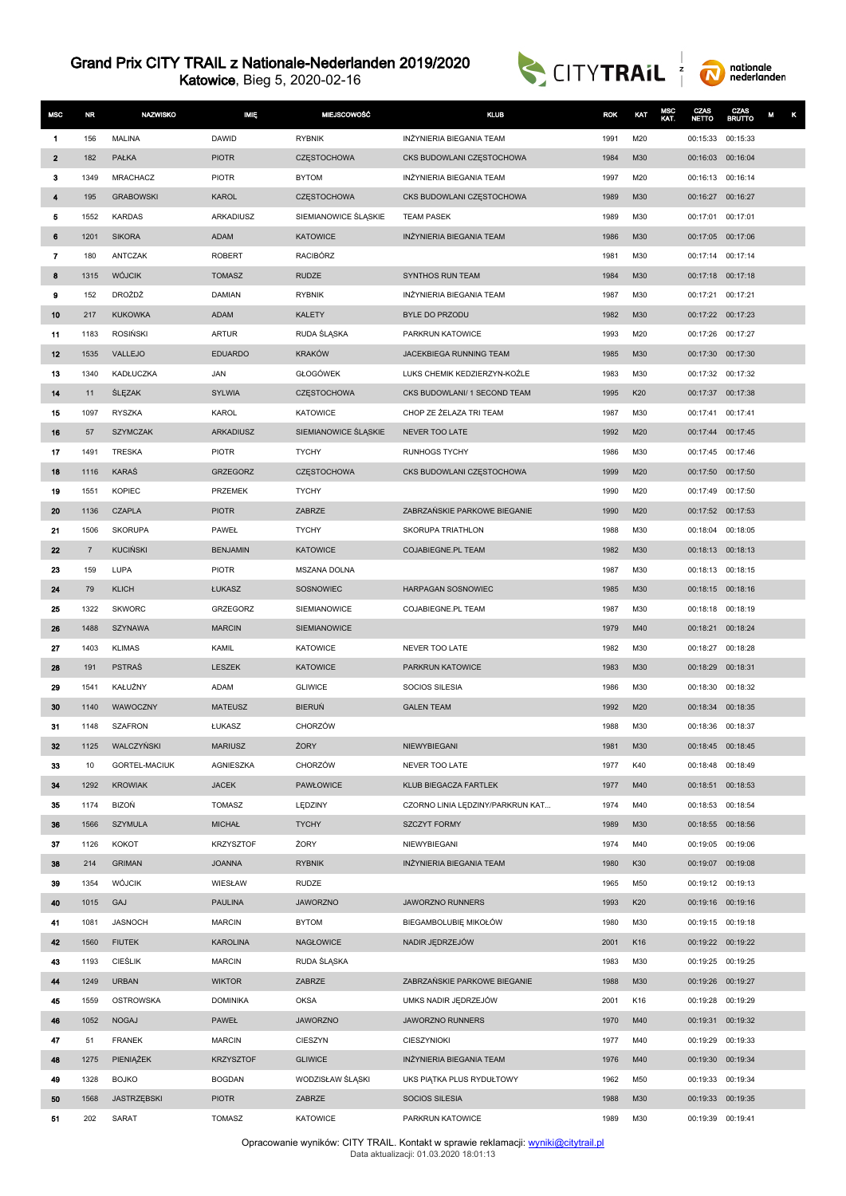Katowice, Bieg 5, 2020-02-16





| <b>MSC</b>   | <b>NR</b>      | <b>NAZWISKO</b>             | <b>IMIĘ</b>                   | MIEJSCOWOŚĆ               | <b>KLUB</b>                               | <b>ROK</b>   | KAT        | MSC<br>KAT. | CZAS<br><b>NETTO</b>                   | CZAS<br><b>BRUTTO</b> | κ<br>M |
|--------------|----------------|-----------------------------|-------------------------------|---------------------------|-------------------------------------------|--------------|------------|-------------|----------------------------------------|-----------------------|--------|
| 1            | 156            | MALINA                      | <b>DAWID</b>                  | <b>RYBNIK</b>             | INŻYNIERIA BIEGANIA TEAM                  | 1991         | M20        |             | 00:15:33                               | 00:15:33              |        |
| $\mathbf{2}$ | 182            | PAŁKA                       | <b>PIOTR</b>                  | <b>CZESTOCHOWA</b>        | CKS BUDOWLANI CZĘSTOCHOWA                 | 1984         | M30        |             | 00:16:03                               | 00:16:04              |        |
| 3            | 1349           | <b>MRACHACZ</b>             | <b>PIOTR</b>                  | <b>BYTOM</b>              | INŻYNIERIA BIEGANIA TEAM                  | 1997         | M20        |             | 00:16:13 00:16:14                      |                       |        |
| 4            | 195            | <b>GRABOWSKI</b>            | <b>KAROL</b>                  | <b>CZESTOCHOWA</b>        | CKS BUDOWLANI CZESTOCHOWA                 | 1989         | M30        |             | 00:16:27 00:16:27                      |                       |        |
| 5            | 1552           | <b>KARDAS</b>               | ARKADIUSZ                     | SIEMIANOWICE ŚLĄSKIE      | <b>TEAM PASEK</b>                         | 1989         | M30        |             | 00:17:01                               | 00:17:01              |        |
| 6            | 1201           | <b>SIKORA</b>               | <b>ADAM</b>                   | <b>KATOWICE</b>           | INŻYNIERIA BIEGANIA TEAM                  | 1986         | M30        |             | 00:17:05 00:17:06                      |                       |        |
| 7            | 180            | ANTCZAK                     | <b>ROBERT</b>                 | <b>RACIBÓRZ</b>           |                                           | 1981         | M30        |             | 00:17:14 00:17:14                      |                       |        |
| 8            | 1315           | <b>WÓJCIK</b>               | <b>TOMASZ</b>                 | <b>RUDZE</b>              | SYNTHOS RUN TEAM                          | 1984         | M30        |             | 00:17:18 00:17:18                      |                       |        |
| 9            | 152            | DROŻDŻ                      | <b>DAMIAN</b>                 | <b>RYBNIK</b>             | INŻYNIERIA BIEGANIA TEAM                  | 1987         | M30        |             | 00:17:21 00:17:21                      |                       |        |
| 10           | 217            | <b>KUKOWKA</b>              | <b>ADAM</b>                   | <b>KALETY</b>             | BYLE DO PRZODU                            | 1982         | M30        |             | 00:17:22 00:17:23                      |                       |        |
| 11           | 1183           | <b>ROSIŃSKI</b>             | <b>ARTUR</b>                  | RUDA ŚLĄSKA               | PARKRUN KATOWICE                          | 1993         | M20        |             | 00:17:26 00:17:27                      |                       |        |
| 12           | 1535           | VALLEJO                     | <b>EDUARDO</b>                | <b>KRAKÓW</b>             | JACEKBIEGA RUNNING TEAM                   | 1985         | M30        |             | 00:17:30                               | 00:17:30              |        |
| 13           | 1340           | KADŁUCZKA                   | JAN                           | <b>GŁOGÓWEK</b>           | LUKS CHEMIK KEDZIERZYN-KOŹLE              | 1983         | M30        |             | 00:17:32                               | 00:17:32              |        |
| 14           | 11             | <b>ŚLĘZAK</b>               | <b>SYLWIA</b>                 | <b>CZESTOCHOWA</b>        | CKS BUDOWLANI/ 1 SECOND TEAM              | 1995         | K20        |             | 00:17:37 00:17:38                      |                       |        |
| 15           | 1097           | <b>RYSZKA</b>               | KAROL                         | <b>KATOWICE</b>           | CHOP ZE ŻELAZA TRI TEAM                   | 1987         | M30        |             | 00:17:41                               | 00:17:41              |        |
| 16           | 57             | <b>SZYMCZAK</b>             | ARKADIUSZ                     | SIEMIANOWICE ŚLĄSKIE      | NEVER TOO LATE                            | 1992         | M20        |             | 00:17:44 00:17:45                      |                       |        |
| 17           | 1491           | <b>TRESKA</b>               | <b>PIOTR</b>                  | <b>TYCHY</b>              | <b>RUNHOGS TYCHY</b>                      | 1986         | M30        |             | 00:17:45 00:17:46                      |                       |        |
| 18           | 1116           | <b>KARAŚ</b>                | <b>GRZEGORZ</b>               | CZĘSTOCHOWA               | CKS BUDOWLANI CZĘSTOCHOWA                 | 1999         | M20        |             | 00:17:50                               | 00:17:50              |        |
| 19           | 1551           | <b>KOPIEC</b>               | PRZEMEK                       | <b>TYCHY</b>              |                                           | 1990         | M20        |             | 00:17:49                               | 00:17:50              |        |
| 20           | 1136           | <b>CZAPLA</b>               | <b>PIOTR</b>                  | ZABRZE                    | ZABRZAŃSKIE PARKOWE BIEGANIE              | 1990         | M20        |             | 00:17:52 00:17:53                      |                       |        |
| 21           | 1506           | <b>SKORUPA</b>              | PAWEŁ                         | <b>TYCHY</b>              | SKORUPA TRIATHLON                         | 1988         | M30        |             | 00:18:04 00:18:05                      |                       |        |
| 22           | $\overline{7}$ | <b>KUCIŃSKI</b>             | <b>BENJAMIN</b>               | <b>KATOWICE</b>           | COJABIEGNE.PL TEAM                        | 1982         | M30        |             | 00:18:13                               | 00:18:13              |        |
| 23           | 159            | LUPA                        | <b>PIOTR</b>                  | <b>MSZANA DOLNA</b>       |                                           | 1987         | M30        |             | 00:18:13 00:18:15                      |                       |        |
| 24           | 79             | <b>KLICH</b>                | ŁUKASZ                        | SOSNOWIEC                 | <b>HARPAGAN SOSNOWIEC</b>                 | 1985         | M30        |             | 00:18:15 00:18:16                      |                       |        |
| 25           | 1322           | <b>SKWORC</b>               | GRZEGORZ                      | SIEMIANOWICE              | COJABIEGNE.PL TEAM                        | 1987         | M30        |             | 00:18:18                               | 00:18:19              |        |
| 26           | 1488           | <b>SZYNAWA</b>              | <b>MARCIN</b>                 | SIEMIANOWICE              |                                           | 1979         | M40        |             | 00:18:21                               | 00:18:24              |        |
| 27           | 1403           | <b>KLIMAS</b>               | <b>KAMIL</b>                  | <b>KATOWICE</b>           | NEVER TOO LATE                            | 1982         | M30        |             | 00:18:27 00:18:28                      |                       |        |
| 28           | 191            | <b>PSTRAŚ</b>               | LESZEK                        | <b>KATOWICE</b>           | PARKRUN KATOWICE                          | 1983         | M30        |             | 00:18:29                               | 00:18:31              |        |
| 29           | 1541           | KAŁUŻNY                     | <b>ADAM</b>                   | <b>GLIWICE</b>            | SOCIOS SILESIA                            | 1986         | M30        |             | 00:18:30                               | 00:18:32              |        |
| 30           | 1140           | WAWOCZNY                    | <b>MATEUSZ</b>                | <b>BIERUŃ</b>             | <b>GALEN TEAM</b>                         | 1992         | M20        |             | 00:18:34 00:18:35                      |                       |        |
| 31           | 1148           | <b>SZAFRON</b>              | ŁUKASZ                        | CHORZÓW                   |                                           | 1988         | M30        |             | 00:18:36                               | 00:18:37              |        |
| 32           | 1125           | WALCZYŃSKI                  | <b>MARIUSZ</b>                | ŻORY                      | NIEWYBIEGANI                              | 1981         | M30        |             | 00:18:45 00:18:45                      |                       |        |
| 33           | 10             | <b>GORTEL-MACIUK</b>        | <b>AGNIESZKA</b>              | CHORZÓW                   | NEVER TOO LATE                            | 1977         | K40        |             | 00:18:48 00:18:49                      |                       |        |
| 34           | 1292           | <b>KROWIAK</b>              | <b>JACEK</b>                  | <b>PAWŁOWICE</b>          | KLUB BIEGACZA FARTLEK                     | 1977         | M40        |             | 00:18:51 00:18:53                      |                       |        |
| 35           | 1174           | <b>BIZOŃ</b>                | <b>TOMASZ</b>                 | LĘDZINY                   | CZORNO LINIA LĘDZINY/PARKRUN KAT          | 1974         | M40        |             | 00:18:53 00:18:54                      |                       |        |
| 36           | 1566           | <b>SZYMULA</b>              | <b>MICHAŁ</b>                 | <b>TYCHY</b>              | <b>SZCZYT FORMY</b>                       | 1989         | M30        |             | 00:18:55 00:18:56                      |                       |        |
| 37           | 1126           | KOKOT                       | <b>KRZYSZTOF</b>              | ŻORY                      | NIEWYBIEGANI                              | 1974         | M40        |             | 00:19:05 00:19:06                      |                       |        |
| 38           | 214            | <b>GRIMAN</b>               | <b>JOANNA</b>                 | <b>RYBNIK</b>             | INŻYNIERIA BIEGANIA TEAM                  | 1980         | K30        |             | 00:19:07 00:19:08                      |                       |        |
| 39           | 1354           | WÓJCIK                      | WIESŁAW                       | <b>RUDZE</b>              |                                           | 1965         | M50        |             | 00:19:12 00:19:13                      |                       |        |
| 40           | 1015           | GAJ                         | <b>PAULINA</b>                | <b>JAWORZNO</b>           | JAWORZNO RUNNERS                          | 1993         | K20        |             | 00:19:16 00:19:16                      |                       |        |
| 41           | 1081           | <b>JASNOCH</b>              | <b>MARCIN</b>                 | <b>BYTOM</b>              | BIEGAMBOLUBIĘ MIKOŁÓW                     | 1980         | M30        |             | 00:19:15 00:19:18                      |                       |        |
| 42           | 1560           | <b>FIUTEK</b>               | <b>KAROLINA</b>               | NAGŁOWICE                 | NADIR JĘDRZEJÓW                           | 2001         | K16        |             | 00:19:22 00:19:22                      |                       |        |
| 43           | 1193           | <b>CIEŚLIK</b>              | <b>MARCIN</b>                 | RUDA ŚLĄSKA               |                                           | 1983         | M30        |             | 00:19:25 00:19:25                      |                       |        |
| 44           | 1249           | <b>URBAN</b>                | <b>WIKTOR</b>                 | ZABRZE                    | ZABRZAŃSKIE PARKOWE BIEGANIE              | 1988         | M30        |             | 00:19:26 00:19:27                      |                       |        |
| 45           | 1559           | OSTROWSKA                   | <b>DOMINIKA</b>               | OKSA                      | UMKS NADIR JĘDRZEJÓW                      | 2001         | K16        |             | 00:19:28                               | 00:19:29              |        |
| 46           | 1052           | <b>NOGAJ</b>                | PAWEŁ                         | <b>JAWORZNO</b>           | JAWORZNO RUNNERS                          | 1970         | M40        |             | 00:19:31 00:19:32                      |                       |        |
| 47           | 51             | <b>FRANEK</b>               | <b>MARCIN</b>                 | CIESZYN                   | CIESZYNIOKI                               | 1977         | M40        |             | 00:19:29 00:19:33                      |                       |        |
| 48           | 1275           | PIENIĄŻEK                   | <b>KRZYSZTOF</b>              | <b>GLIWICE</b>            | INŻYNIERIA BIEGANIA TEAM                  | 1976         | M40        |             | 00:19:30                               | 00:19:34              |        |
| 49           | 1328           | <b>BOJKO</b>                | <b>BOGDAN</b>                 | WODZISŁAW ŚLĄSKI          | UKS PIĄTKA PLUS RYDUŁTOWY                 | 1962         | M50        |             | 00:19:33 00:19:34                      |                       |        |
| 50<br>51     | 1568<br>202    | <b>JASTRZEBSKI</b><br>SARAT | <b>PIOTR</b><br><b>TOMASZ</b> | ZABRZE<br><b>KATOWICE</b> | <b>SOCIOS SILESIA</b><br>PARKRUN KATOWICE | 1988<br>1989 | M30<br>M30 |             | 00:19:33 00:19:35<br>00:19:39 00:19:41 |                       |        |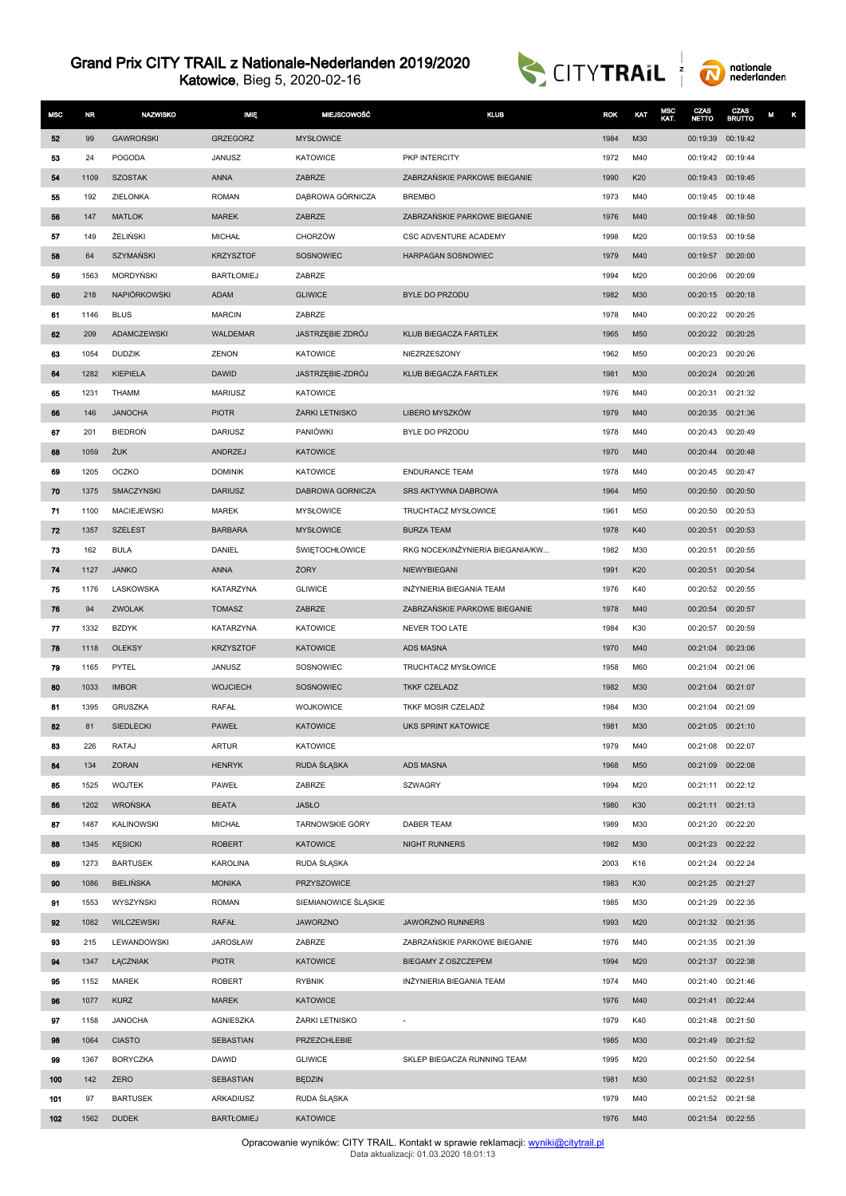Katowice, Bieg 5, 2020-02-16





| <b>MSC</b> | <b>NR</b> | <b>NAZWISKO</b>    | <b>MIE</b>        | <b>MIEJSCOWOŚĆ</b>    | <b>KLUB</b>                      | <b>ROK</b> | KAT | <b>MSC</b><br>KAT. | CZAS<br><b>NETTO</b> | CZAS<br><b>BRUTTO</b> | M<br>κ |
|------------|-----------|--------------------|-------------------|-----------------------|----------------------------------|------------|-----|--------------------|----------------------|-----------------------|--------|
| 52         | 99        | <b>GAWROŃSKI</b>   | <b>GRZEGORZ</b>   | <b>MYSŁOWICE</b>      |                                  | 1984       | M30 |                    | 00:19:39 00:19:42    |                       |        |
| 53         | 24        | POGODA             | <b>JANUSZ</b>     | <b>KATOWICE</b>       | PKP INTERCITY                    | 1972       | M40 |                    | 00:19:42 00:19:44    |                       |        |
| 54         | 1109      | <b>SZOSTAK</b>     | <b>ANNA</b>       | ZABRZE                | ZABRZAŃSKIE PARKOWE BIEGANIE     | 1990       | K20 |                    | 00:19:43 00:19:45    |                       |        |
| 55         | 192       | ZIELONKA           | <b>ROMAN</b>      | DĄBROWA GÓRNICZA      | <b>BREMBO</b>                    | 1973       | M40 |                    | 00:19:45 00:19:48    |                       |        |
| 56         | 147       | <b>MATLOK</b>      | <b>MAREK</b>      | ZABRZE                | ZABRZAŃSKIE PARKOWE BIEGANIE     | 1976       | M40 |                    | 00:19:48 00:19:50    |                       |        |
| 57         | 149       | ŻELIŃSKI           | <b>MICHAŁ</b>     | CHORZÓW               | CSC ADVENTURE ACADEMY            | 1998       | M20 |                    | 00:19:53 00:19:58    |                       |        |
| 58         | 64        | <b>SZYMAŃSKI</b>   | <b>KRZYSZTOF</b>  | SOSNOWIEC             | HARPAGAN SOSNOWIEC               | 1979       | M40 |                    | 00:19:57 00:20:00    |                       |        |
| 59         | 1563      | <b>MORDYNSKI</b>   | <b>BARTŁOMIEJ</b> | ZABRZE                |                                  | 1994       | M20 |                    | 00:20:06             | 00:20:09              |        |
| 60         | 218       | NAPIÓRKOWSKI       | <b>ADAM</b>       | <b>GLIWICE</b>        | <b>BYLE DO PRZODU</b>            | 1982       | M30 |                    | 00:20:15 00:20:18    |                       |        |
| 61         | 1146      | <b>BLUS</b>        | <b>MARCIN</b>     | ZABRZE                |                                  | 1978       | M40 |                    | 00:20:22 00:20:25    |                       |        |
| 62         | 209       | <b>ADAMCZEWSKI</b> | <b>WALDEMAR</b>   | JASTRZĘBIE ZDRÓJ      | KLUB BIEGACZA FARTLEK            | 1965       | M50 |                    | 00:20:22 00:20:25    |                       |        |
| 63         | 1054      | <b>DUDZIK</b>      | ZENON             | KATOWICE              | NIEZRZESZONY                     | 1962       | M50 |                    | 00:20:23             | 00:20:26              |        |
| 64         | 1282      | <b>KIEPIELA</b>    | <b>DAWID</b>      | JASTRZĘBIE-ZDRÓJ      | KLUB BIEGACZA FARTLEK            | 1981       | M30 |                    | 00:20:24             | 00:20:26              |        |
| 65         | 1231      | <b>THAMM</b>       | <b>MARIUSZ</b>    | <b>KATOWICE</b>       |                                  | 1976       | M40 |                    | 00:20:31             | 00:21:32              |        |
| 66         | 146       | <b>JANOCHA</b>     | <b>PIOTR</b>      | ŻARKI LETNISKO        | LIBERO MYSZKÓW                   | 1979       | M40 |                    | 00:20:35 00:21:36    |                       |        |
| 67         | 201       | BIEDROŃ            | <b>DARIUSZ</b>    | PANIÓWKI              | BYLE DO PRZODU                   | 1978       | M40 |                    | 00:20:43             | 00:20:49              |        |
| 68         | 1059      | ŻUK                | ANDRZEJ           | <b>KATOWICE</b>       |                                  | 1970       | M40 |                    | 00:20:44 00:20:48    |                       |        |
| 69         | 1205      | OCZKO              | <b>DOMINIK</b>    | <b>KATOWICE</b>       | <b>ENDURANCE TEAM</b>            | 1978       | M40 |                    | 00:20:45             | 00:20:47              |        |
| 70         | 1375      | SMACZYNSKI         | <b>DARIUSZ</b>    | DABROWA GORNICZA      | SRS AKTYWNA DABROWA              | 1964       | M50 |                    | 00:20:50             | 00:20:50              |        |
| 71         | 1100      | <b>MACIEJEWSKI</b> | <b>MAREK</b>      | <b>MYSŁOWICE</b>      | TRUCHTACZ MYSŁOWICE              | 1961       | M50 |                    | 00:20:50             | 00:20:53              |        |
| 72         | 1357      | <b>SZELEST</b>     | <b>BARBARA</b>    | <b>MYSŁOWICE</b>      | <b>BURZA TEAM</b>                | 1978       | K40 |                    | 00:20:51             | 00:20:53              |        |
| 73         | 162       | <b>BULA</b>        | DANIEL            | <b>ŚWIĘTOCHŁOWICE</b> | RKG NOCEK/INZYNIERIA BIEGANIA/KW | 1982       | M30 |                    | 00:20:51             | 00:20:55              |        |
| 74         | 1127      | <b>JANKO</b>       | <b>ANNA</b>       | ŻORY                  | NIEWYBIEGANI                     | 1991       | K20 |                    | 00:20:51             | 00:20:54              |        |
| 75         | 1176      | LASKOWSKA          | KATARZYNA         | <b>GLIWICE</b>        | INŻYNIERIA BIEGANIA TEAM         | 1976       | K40 |                    | 00:20:52 00:20:55    |                       |        |
| 76         | 94        | ZWOLAK             | <b>TOMASZ</b>     | ZABRZE                | ZABRZAŃSKIE PARKOWE BIEGANIE     | 1978       | M40 |                    | 00:20:54             | 00:20:57              |        |
| 77         | 1332      | <b>BZDYK</b>       | KATARZYNA         | <b>KATOWICE</b>       | NEVER TOO LATE                   | 1984       | K30 |                    | 00:20:57             | 00:20:59              |        |
| 78         | 1118      | <b>OLEKSY</b>      | <b>KRZYSZTOF</b>  | <b>KATOWICE</b>       | ADS MASNA                        | 1970       | M40 |                    | 00:21:04             | 00:23:06              |        |
| 79         | 1165      | PYTEL              | <b>JANUSZ</b>     | SOSNOWIEC             | TRUCHTACZ MYSŁOWICE              | 1958       | M60 |                    | 00:21:04             | 00:21:06              |        |
| 80         | 1033      | <b>IMBOR</b>       | <b>WOJCIECH</b>   | SOSNOWIEC             | <b>TKKF CZELADZ</b>              | 1982       | M30 |                    | 00:21:04             | 00:21:07              |        |
| 81         | 1395      | GRUSZKA            | RAFAŁ             | <b>WOJKOWICE</b>      | TKKF MOSIR CZELADŹ               | 1984       | M30 |                    | 00:21:04             | 00:21:09              |        |
| 82         | 81        | <b>SIEDLECKI</b>   | <b>PAWEŁ</b>      | <b>KATOWICE</b>       | UKS SPRINT KATOWICE              | 1981       | M30 |                    | 00:21:05 00:21:10    |                       |        |
| 83         | 226       | RATAJ              | <b>ARTUR</b>      | <b>KATOWICE</b>       |                                  | 1979       | M40 |                    | 00:21:08 00:22:07    |                       |        |
| 84         | 134       | ZORAN              | <b>HENRYK</b>     | RUDA ŚLĄSKA           | <b>ADS MASNA</b>                 | 1968       | M50 |                    | 00:21:09 00:22:08    |                       |        |
| 85         | 1525      | <b>WOJTEK</b>      | PAWEŁ             | ZABRZE                | <b>SZWAGRY</b>                   | 1994       | M20 |                    | 00:21:11 00:22:12    |                       |        |
| 86         | 1202      | <b>WROŃSKA</b>     | <b>BEATA</b>      | <b>JASŁO</b>          |                                  | 1980       | K30 |                    | 00:21:11 00:21:13    |                       |        |
| 87         | 1487      | KALINOWSKI         | <b>MICHAŁ</b>     | TARNOWSKIE GÓRY       | <b>DABER TEAM</b>                | 1989       | M30 |                    | 00:21:20 00:22:20    |                       |        |
| 88         | 1345      | <b>KĘSICKI</b>     | <b>ROBERT</b>     | <b>KATOWICE</b>       | <b>NIGHT RUNNERS</b>             | 1982       | M30 |                    | 00:21:23 00:22:22    |                       |        |
| 89         | 1273      | <b>BARTUSEK</b>    | <b>KAROLINA</b>   | RUDA ŚLASKA           |                                  | 2003       | K16 |                    | 00:21:24 00:22:24    |                       |        |
| 90         | 1086      | <b>BIELIŃSKA</b>   | <b>MONIKA</b>     | PRZYSZOWICE           |                                  | 1983       | K30 |                    | 00:21:25 00:21:27    |                       |        |
| 91         | 1553      | WYSZYŃSKI          | <b>ROMAN</b>      | SIEMIANOWICE ŚLĄSKIE  |                                  | 1985       | M30 |                    | 00:21:29 00:22:35    |                       |        |
| 92         | 1082      | WILCZEWSKI         | RAFAŁ             | <b>JAWORZNO</b>       | JAWORZNO RUNNERS                 | 1993       | M20 |                    | 00:21:32 00:21:35    |                       |        |
| 93         | 215       | LEWANDOWSKI        | <b>JAROSŁAW</b>   | ZABRZE                | ZABRZAŃSKIE PARKOWE BIEGANIE     | 1976       | M40 |                    | 00:21:35 00:21:39    |                       |        |
| 94         | 1347      | ŁĄCZNIAK           | <b>PIOTR</b>      | <b>KATOWICE</b>       | BIEGAMY Z OSZCZEPEM              | 1994       | M20 |                    | 00:21:37 00:22:38    |                       |        |
| 95         | 1152      | <b>MAREK</b>       | <b>ROBERT</b>     | <b>RYBNIK</b>         | INŻYNIERIA BIEGANIA TEAM         | 1974       | M40 |                    | 00:21:40 00:21:46    |                       |        |
| 96         | 1077      | <b>KURZ</b>        | <b>MAREK</b>      | <b>KATOWICE</b>       |                                  | 1976       | M40 |                    | 00:21:41 00:22:44    |                       |        |
| 97         | 1158      | <b>JANOCHA</b>     | AGNIESZKA         | ŻARKI LETNISKO        | $\overline{a}$                   | 1979       | K40 |                    | 00:21:48 00:21:50    |                       |        |
| 98         | 1064      | <b>CIASTO</b>      | SEBASTIAN         | PRZEZCHLEBIE          |                                  | 1985       | M30 |                    | 00:21:49 00:21:52    |                       |        |
| 99         | 1367      | <b>BORYCZKA</b>    | DAWID             | <b>GLIWICE</b>        | SKLEP BIEGACZA RUNNING TEAM      | 1995       | M20 |                    | 00:21:50             | 00:22:54              |        |
| 100        | 142       | ŻERO               | <b>SEBASTIAN</b>  | <b>BEDZIN</b>         |                                  | 1981       | M30 |                    | 00:21:52 00:22:51    |                       |        |
| 101        | 97        | <b>BARTUSEK</b>    | ARKADIUSZ         | RUDA ŚLĄSKA           |                                  | 1979       | M40 |                    | 00:21:52 00:21:58    |                       |        |
| 102        | 1562      | <b>DUDEK</b>       | <b>BARTŁOMIEJ</b> | <b>KATOWICE</b>       |                                  | 1976       | M40 |                    | 00:21:54 00:22:55    |                       |        |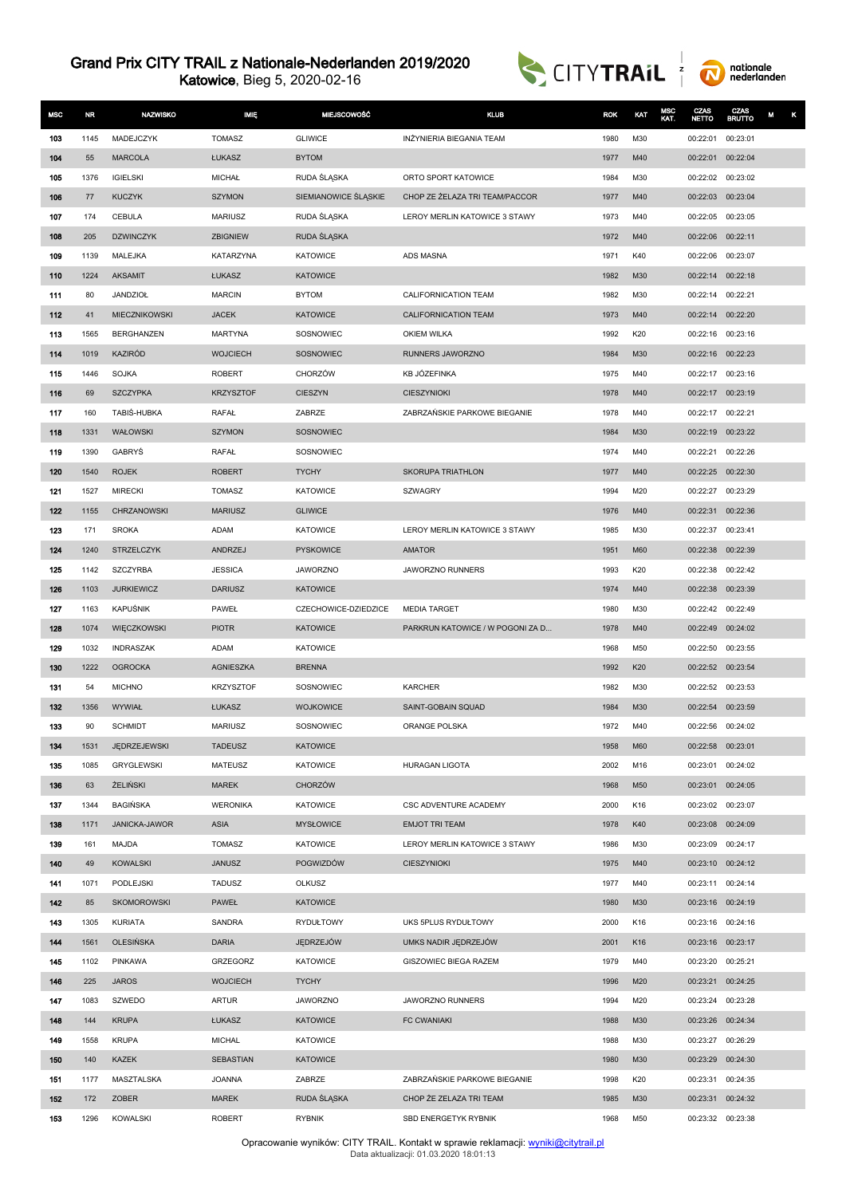Katowice, Bieg 5, 2020-02-16





| <b>MSC</b> | <b>NR</b>    | <b>NAZWISKO</b>                 | <b>IMIE</b>          | <b>MIEJSCOWOŚĆ</b>                 | <b>KLUB</b>                      | <b>ROK</b>   | KAT        | MSC<br>KAT. | CZAS<br><b>NETTO</b> | CZAS<br><b>BRUTTO</b> |  |
|------------|--------------|---------------------------------|----------------------|------------------------------------|----------------------------------|--------------|------------|-------------|----------------------|-----------------------|--|
| 103        | 1145         | MADEJCZYK                       | <b>TOMASZ</b>        | <b>GLIWICE</b>                     | INŻYNIERIA BIEGANIA TEAM         | 1980         | M30        |             | 00:22:01             | 00:23:01              |  |
| 104        | 55           | <b>MARCOLA</b>                  | ŁUKASZ               | <b>BYTOM</b>                       |                                  | 1977         | M40        |             | 00:22:01             | 00:22:04              |  |
| 105        | 1376         | <b>IGIELSKI</b>                 | <b>MICHAŁ</b>        | RUDA ŚLĄSKA                        | ORTO SPORT KATOWICE              | 1984         | M30        |             | 00:22:02 00:23:02    |                       |  |
| 106        | 77           | <b>KUCZYK</b>                   | <b>SZYMON</b>        | SIEMIANOWICE ŚLĄSKIE               | CHOP ZE ŻELAZA TRI TEAM/PACCOR   | 1977         | M40        |             | 00:22:03             | 00:23:04              |  |
| 107        | 174          | CEBULA                          | <b>MARIUSZ</b>       | RUDA ŚLĄSKA                        | LEROY MERLIN KATOWICE 3 STAWY    | 1973         | M40        |             | 00:22:05 00:23:05    |                       |  |
| 108        | 205          | <b>DZWINCZYK</b>                | ZBIGNIEW             | RUDA SLASKA                        |                                  | 1972         | M40        |             | 00:22:06             | 00:22:11              |  |
| 109        | 1139         | MALEJKA                         | KATARZYNA            | <b>KATOWICE</b>                    | <b>ADS MASNA</b>                 | 1971         | K40        |             | 00:22:06             | 00:23:07              |  |
| 110        | 1224         | <b>AKSAMIT</b>                  | ŁUKASZ               | <b>KATOWICE</b>                    |                                  | 1982         | M30        |             | 00:22:14             | 00:22:18              |  |
| 111        | 80           | <b>JANDZIOŁ</b>                 | <b>MARCIN</b>        | <b>BYTOM</b>                       | CALIFORNICATION TEAM             | 1982         | M30        |             | 00:22:14             | 00:22:21              |  |
| 112        | 41           | MIECZNIKOWSKI                   | <b>JACEK</b>         | <b>KATOWICE</b>                    | CALIFORNICATION TEAM             | 1973         | M40        |             | 00:22:14             | 00:22:20              |  |
| 113        | 1565         | BERGHANZEN                      | <b>MARTYNA</b>       | SOSNOWIEC                          | <b>OKIEM WILKA</b>               | 1992         | K20        |             | 00:22:16 00:23:16    |                       |  |
| 114        | 1019         | <b>KAZIRÓD</b>                  | <b>WOJCIECH</b>      | SOSNOWIEC                          | RUNNERS JAWORZNO                 | 1984         | M30        |             | 00:22:16             | 00:22:23              |  |
| 115        | 1446         | <b>SOJKA</b>                    | <b>ROBERT</b>        | <b>CHORZÓW</b>                     | KB JÓZEFINKA                     | 1975         | M40        |             | 00:22:17             | 00:23:16              |  |
| 116        | 69           | <b>SZCZYPKA</b>                 | <b>KRZYSZTOF</b>     | <b>CIESZYN</b>                     | CIESZYNIOKI                      | 1978         | M40        |             | 00:22:17             | 00:23:19              |  |
| 117        | 160          | TABIŚ-HUBKA                     | RAFAŁ                | ZABRZE                             | ZABRZAŃSKIE PARKOWE BIEGANIE     | 1978         | M40        |             | 00:22:17 00:22:21    |                       |  |
| 118        | 1331         | WAŁOWSKI                        | <b>SZYMON</b>        | SOSNOWIEC                          |                                  | 1984         | M30        |             | 00:22:19             | 00:23:22              |  |
| 119        | 1390         | <b>GABRYS</b>                   | RAFAŁ                | SOSNOWIEC                          |                                  | 1974         | M40        |             | 00:22:21             | 00:22:26              |  |
| 120        | 1540         | <b>ROJEK</b>                    | <b>ROBERT</b>        | <b>TYCHY</b>                       | <b>SKORUPA TRIATHLON</b>         | 1977         | M40        |             | 00:22:25 00:22:30    |                       |  |
| 121        | 1527         | <b>MIRECKI</b>                  | <b>TOMASZ</b>        | <b>KATOWICE</b>                    | SZWAGRY                          | 1994         | M20        |             | 00:22:27             | 00:23:29              |  |
| 122        | 1155         | CHRZANOWSKI                     | <b>MARIUSZ</b>       | <b>GLIWICE</b>                     |                                  | 1976         | M40        |             | 00:22:31             | 00:22:36              |  |
| 123        | 171          | <b>SROKA</b>                    | ADAM                 | <b>KATOWICE</b>                    | LEROY MERLIN KATOWICE 3 STAWY    | 1985         | M30        |             | 00:22:37             | 00:23:41              |  |
| 124        | 1240         | <b>STRZELCZYK</b>               | ANDRZEJ              | <b>PYSKOWICE</b>                   | <b>AMATOR</b>                    | 1951         | M60        |             | 00:22:38             | 00:22:39              |  |
| 125        | 1142         | <b>SZCZYRBA</b>                 | <b>JESSICA</b>       | <b>JAWORZNO</b>                    | JAWORZNO RUNNERS                 | 1993         | K20        |             | 00:22:38             | 00:22:42              |  |
| 126        | 1103         | <b>JURKIEWICZ</b>               | <b>DARIUSZ</b>       | <b>KATOWICE</b>                    |                                  | 1974         | M40        |             | 00:22:38             | 00:23:39              |  |
| 127        | 1163         | KAPUŚNIK                        | PAWEŁ                | CZECHOWICE-DZIEDZICE               | <b>MEDIA TARGET</b>              | 1980         | M30        |             | 00:22:42 00:22:49    |                       |  |
| 128<br>129 | 1074<br>1032 | WIĘCZKOWSKI<br><b>INDRASZAK</b> | <b>PIOTR</b><br>ADAM | <b>KATOWICE</b><br><b>KATOWICE</b> | PARKRUN KATOWICE / W POGONI ZA D | 1978<br>1968 | M40<br>M50 |             | 00:22:49<br>00:22:50 | 00:24:02<br>00:23:55  |  |
| 130        | 1222         | <b>OGROCKA</b>                  | <b>AGNIESZKA</b>     | <b>BRENNA</b>                      |                                  | 1992         | K20        |             | 00:22:52 00:23:54    |                       |  |
| 131        | 54           | <b>MICHNO</b>                   | <b>KRZYSZTOF</b>     | SOSNOWIEC                          | KARCHER                          | 1982         | M30        |             | 00:22:52             | 00:23:53              |  |
| 132        | 1356         | WYWIAŁ                          | ŁUKASZ               | <b>WOJKOWICE</b>                   | SAINT-GOBAIN SQUAD               | 1984         | M30        |             | 00:22:54             | 00:23:59              |  |
| 133        | 90           | <b>SCHMIDT</b>                  | <b>MARIUSZ</b>       | SOSNOWIEC                          | ORANGE POLSKA                    | 1972         | M40        |             | 00:22:56 00:24:02    |                       |  |
| 134        | 1531         | JĘDRZEJEWSKI                    | <b>TADEUSZ</b>       | <b>KATOWICE</b>                    |                                  | 1958         | <b>M60</b> |             |                      | 00:22:58 00:23:01     |  |
| 135        | 1085         | <b>GRYGLEWSKI</b>               | <b>MATEUSZ</b>       | <b>KATOWICE</b>                    | HURAGAN LIGOTA                   | 2002         | M16        |             | 00:23:01             | 00:24:02              |  |
| 136        | 63           | <b>ŻELIŃSKI</b>                 | <b>MAREK</b>         | CHORZÓW                            |                                  | 1968         | M50        |             | 00:23:01             | 00:24:05              |  |
| 137        | 1344         | <b>BAGIŃSKA</b>                 | <b>WERONIKA</b>      | <b>KATOWICE</b>                    | CSC ADVENTURE ACADEMY            | 2000         | K16        |             | 00:23:02 00:23:07    |                       |  |
| 138        | 1171         | JANICKA-JAWOR                   | <b>ASIA</b>          | <b>MYSŁOWICE</b>                   | <b>EMJOT TRI TEAM</b>            | 1978         | K40        |             | 00:23:08 00:24:09    |                       |  |
| 139        | 161          | MAJDA                           | <b>TOMASZ</b>        | <b>KATOWICE</b>                    | LEROY MERLIN KATOWICE 3 STAWY    | 1986         | M30        |             | 00:23:09             | 00:24:17              |  |
| 140        | 49           | <b>KOWALSKI</b>                 | <b>JANUSZ</b>        | POGWIZDÓW                          | <b>CIESZYNIOKI</b>               | 1975         | M40        |             |                      | 00:23:10 00:24:12     |  |
| 141        | 1071         | PODLEJSKI                       | TADUSZ               | OLKUSZ                             |                                  | 1977         | M40        |             | 00:23:11 00:24:14    |                       |  |
| 142        | 85           | <b>SKOMOROWSKI</b>              | PAWEŁ                | KATOWICE                           |                                  | 1980         | M30        |             | 00:23:16 00:24:19    |                       |  |
| 143        | 1305         | <b>KURIATA</b>                  | SANDRA               | RYDUŁTOWY                          | UKS 5PLUS RYDUŁTOWY              | 2000         | K16        |             |                      | 00:23:16 00:24:16     |  |
| 144        | 1561         | <b>OLESIŃSKA</b>                | <b>DARIA</b>         | JEDRZEJÓW                          | UMKS NADIR JĘDRZEJÓW             | 2001         | K16        |             | 00:23:16 00:23:17    |                       |  |
| 145        | 1102         | PINKAWA                         | <b>GRZEGORZ</b>      | KATOWICE                           | GISZOWIEC BIEGA RAZEM            | 1979         | M40        |             | 00:23:20 00:25:21    |                       |  |
| 146        | 225          | <b>JAROS</b>                    | <b>WOJCIECH</b>      | <b>TYCHY</b>                       |                                  | 1996         | M20        |             | 00:23:21             | 00:24:25              |  |
| 147        | 1083         | SZWEDO                          | <b>ARTUR</b>         | <b>JAWORZNO</b>                    | JAWORZNO RUNNERS                 | 1994         | M20        |             | 00:23:24             | 00:23:28              |  |
| 148        | 144          | <b>KRUPA</b>                    | ŁUKASZ               | <b>KATOWICE</b>                    | <b>FC CWANIAKI</b>               | 1988         | M30        |             | 00:23:26 00:24:34    |                       |  |
| 149        | 1558         | <b>KRUPA</b>                    | <b>MICHAL</b>        | <b>KATOWICE</b>                    |                                  | 1988         | M30        |             | 00:23:27             | 00:26:29              |  |
| 150        | 140          | KAZEK                           | <b>SEBASTIAN</b>     | <b>KATOWICE</b>                    |                                  | 1980         | M30        |             | 00:23:29 00:24:30    |                       |  |
| 151        | 1177         | MASZTALSKA                      | JOANNA               | ZABRZE                             | ZABRZAŃSKIE PARKOWE BIEGANIE     | 1998         | K20        |             | 00:23:31             | 00:24:35              |  |
| 152        | 172          | ZOBER                           | <b>MAREK</b>         | RUDA ŚLĄSKA                        | CHOP ŻE ZELAZA TRI TEAM          | 1985         | M30        |             | 00:23:31 00:24:32    |                       |  |
| 153        | 1296         | KOWALSKI                        | <b>ROBERT</b>        | RYBNIK                             | SBD ENERGETYK RYBNIK             | 1968         | M50        |             | 00:23:32 00:23:38    |                       |  |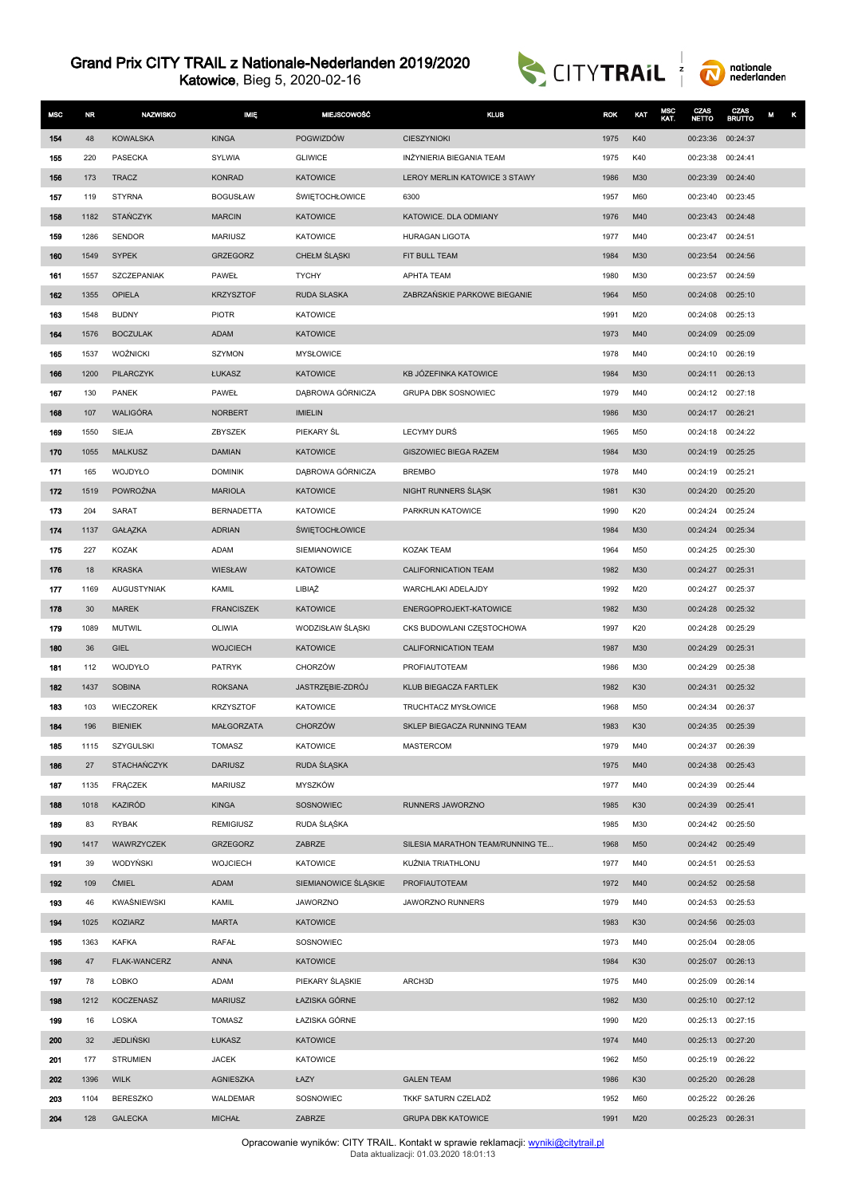Katowice, Bieg 5, 2020-02-16





| <b>MSC</b> | <b>NR</b>   | <b>NAZWISKO</b>    | <b>MIĘ</b>                         | <b>MIEJSCOWOŚĆ</b>                    | <b>KLUB</b>                      | <b>ROK</b>   | KAT        | MSC<br>KAT. | CZAS<br><b>NETTO</b>          | CZAS<br><b>BRUTTO</b> | κ<br>M |
|------------|-------------|--------------------|------------------------------------|---------------------------------------|----------------------------------|--------------|------------|-------------|-------------------------------|-----------------------|--------|
| 154        | 48          | <b>KOWALSKA</b>    | <b>KINGA</b>                       | POGWIZDÓW                             | <b>CIESZYNIOKI</b>               | 1975         | K40        |             | 00:23:36                      | 00:24:37              |        |
| 155        | 220         | <b>PASECKA</b>     | <b>SYLWIA</b>                      | <b>GLIWICE</b>                        | INŻYNIERIA BIEGANIA TEAM         | 1975         | K40        |             | 00:23:38                      | 00:24:41              |        |
| 156        | 173         | <b>TRACZ</b>       | <b>KONRAD</b>                      | <b>KATOWICE</b>                       | LEROY MERLIN KATOWICE 3 STAWY    | 1986         | M30        |             | 00:23:39                      | 00:24:40              |        |
| 157        | 119         | <b>STYRNA</b>      | <b>BOGUSŁAW</b>                    | <b>ŚWIĘTOCHŁOWICE</b>                 | 6300                             | 1957         | M60        |             | 00:23:40                      | 00:23:45              |        |
| 158        | 1182        | <b>STANCZYK</b>    | <b>MARCIN</b>                      | <b>KATOWICE</b>                       | KATOWICE. DLA ODMIANY            | 1976         | M40        |             | 00:23:43                      | 00:24:48              |        |
| 159        | 1286        | <b>SENDOR</b>      | <b>MARIUSZ</b>                     | <b>KATOWICE</b>                       | <b>HURAGAN LIGOTA</b>            | 1977         | M40        |             | 00:23:47                      | 00:24:51              |        |
| 160        | 1549        | <b>SYPEK</b>       | GRZEGORZ                           | CHEŁM ŚLĄSKI                          | FIT BULL TEAM                    | 1984         | M30        |             | 00:23:54                      | 00:24:56              |        |
| 161        | 1557        | SZCZEPANIAK        | PAWEŁ                              | <b>TYCHY</b>                          | APHTA TEAM                       | 1980         | M30        |             | 00:23:57                      | 00:24:59              |        |
| 162        | 1355        | OPIELA             | <b>KRZYSZTOF</b>                   | <b>RUDA SLASKA</b>                    | ZABRZAŃSKIE PARKOWE BIEGANIE     | 1964         | M50        |             | 00:24:08                      | 00:25:10              |        |
| 163        | 1548        | <b>BUDNY</b>       | <b>PIOTR</b>                       | <b>KATOWICE</b>                       |                                  | 1991         | M20        |             | 00:24:08                      | 00:25:13              |        |
| 164        | 1576        | <b>BOCZULAK</b>    | <b>ADAM</b>                        | <b>KATOWICE</b>                       |                                  | 1973         | M40        |             | 00:24:09                      | 00:25:09              |        |
| 165        | 1537        | <b>WOŹNICKI</b>    | SZYMON                             | <b>MYSŁOWICE</b>                      |                                  | 1978         | M40        |             | 00:24:10                      | 00:26:19              |        |
| 166        | 1200        | PILARCZYK          | ŁUKASZ                             | <b>KATOWICE</b>                       | KB JÓZEFINKA KATOWICE            | 1984         | M30        |             | 00:24:11 00:26:13             |                       |        |
| 167        | 130         | <b>PANEK</b>       | PAWEŁ                              | DABROWA GÓRNICZA                      | <b>GRUPA DBK SOSNOWIEC</b>       | 1979         | M40        |             | 00:24:12 00:27:18             |                       |        |
| 168        | 107         | WALIGÓRA           | <b>NORBERT</b>                     | <b>IMIELIN</b>                        |                                  | 1986         | M30        |             | 00:24:17 00:26:21             |                       |        |
| 169        | 1550        | SIEJA              | ZBYSZEK                            | PIEKARY ŚL                            | LECYMY DURŚ                      | 1965         | M50        |             | 00:24:18 00:24:22             |                       |        |
| 170        | 1055        | <b>MALKUSZ</b>     | <b>DAMIAN</b>                      | <b>KATOWICE</b>                       | <b>GISZOWIEC BIEGA RAZEM</b>     | 1984         | M30        |             | 00:24:19 00:25:25             |                       |        |
| 171        | 165         | WOJDYŁO            | <b>DOMINIK</b>                     | DĄBROWA GÓRNICZA                      | <b>BREMBO</b>                    | 1978         | M40        |             | 00:24:19 00:25:21             |                       |        |
| 172        | 1519        | POWROŻNA           | <b>MARIOLA</b>                     | <b>KATOWICE</b>                       | NIGHT RUNNERS SLASK              | 1981         | K30        |             | 00:24:20                      | 00:25:20              |        |
| 173        | 204<br>1137 | SARAT              | <b>BERNADETTA</b><br><b>ADRIAN</b> | <b>KATOWICE</b>                       | PARKRUN KATOWICE                 | 1990         | K20<br>M30 |             | 00:24:24<br>00:24:24 00:25:34 | 00:25:24              |        |
| 174<br>175 | 227         | GAŁĄZKA<br>KOZAK   | ADAM                               | <b>ŚWIĘTOCHŁOWICE</b><br>SIEMIANOWICE | <b>KOZAK TEAM</b>                | 1984<br>1964 | M50        |             | 00:24:25                      | 00:25:30              |        |
| 176        | 18          | <b>KRASKA</b>      | WIESŁAW                            | <b>KATOWICE</b>                       | CALIFORNICATION TEAM             | 1982         | M30        |             | 00:24:27                      | 00:25:31              |        |
| 177        | 1169        | <b>AUGUSTYNIAK</b> | <b>KAMIL</b>                       | LIBIĄŻ                                | WARCHLAKI ADELAJDY               | 1992         | M20        |             | 00:24:27                      | 00:25:37              |        |
| 178        | 30          | <b>MAREK</b>       | <b>FRANCISZEK</b>                  | <b>KATOWICE</b>                       | ENERGOPROJEKT-KATOWICE           | 1982         | M30        |             | 00:24:28                      | 00:25:32              |        |
| 179        | 1089        | <b>MUTWIL</b>      | OLIWIA                             | WODZISŁAW ŚLĄSKI                      | CKS BUDOWLANI CZĘSTOCHOWA        | 1997         | K20        |             | 00:24:28                      | 00:25:29              |        |
| 180        | 36          | GIEL               | <b>WOJCIECH</b>                    | <b>KATOWICE</b>                       | CALIFORNICATION TEAM             | 1987         | M30        |             | 00:24:29                      | 00:25:31              |        |
| 181        | 112         | WOJDYŁO            | PATRYK                             | CHORZÓW                               | PROFIAUTOTEAM                    | 1986         | M30        |             | 00:24:29                      | 00:25:38              |        |
| 182        | 1437        | <b>SOBINA</b>      | <b>ROKSANA</b>                     | JASTRZĘBIE-ZDRÓJ                      | KLUB BIEGACZA FARTLEK            | 1982         | K30        |             | 00:24:31                      | 00:25:32              |        |
| 183        | 103         | <b>WIECZOREK</b>   | <b>KRZYSZTOF</b>                   | <b>KATOWICE</b>                       | TRUCHTACZ MYSŁOWICE              | 1968         | M50        |             | 00:24:34                      | 00:26:37              |        |
| 184        | 196         | <b>BIENIEK</b>     | <b>MAŁGORZATA</b>                  | <b>CHORZÓW</b>                        | SKLEP BIEGACZA RUNNING TEAM      | 1983         | K30        |             | 00:24:35 00:25:39             |                       |        |
| 185        | 1115        | SZYGULSKI          | <b>TOMASZ</b>                      | <b>KATOWICE</b>                       | <b>MASTERCOM</b>                 | 1979         | M40        |             | 00:24:37 00:26:39             |                       |        |
| 186        | 27          | <b>STACHANCZYK</b> | <b>DARIUSZ</b>                     | RUDA ŚLĄSKA                           |                                  | 1975         | M40        |             | 00:24:38                      | 00:25:43              |        |
| 187        | 1135        | <b>FRACZEK</b>     | <b>MARIUSZ</b>                     | MYSZKÓW                               |                                  | 1977         | M40        |             | 00:24:39 00:25:44             |                       |        |
| 188        | 1018        | KAZIRÓD            | <b>KINGA</b>                       | SOSNOWIEC                             | RUNNERS JAWORZNO                 | 1985         | K30        |             | 00:24:39 00:25:41             |                       |        |
| 189        | 83          | <b>RYBAK</b>       | <b>REMIGIUSZ</b>                   | RUDA ŚLĄŚKA                           |                                  | 1985         | M30        |             | 00:24:42 00:25:50             |                       |        |
| 190        | 1417        | WAWRZYCZEK         | GRZEGORZ                           | ZABRZE                                | SILESIA MARATHON TEAM/RUNNING TE | 1968         | M50        |             | 00:24:42 00:25:49             |                       |        |
| 191        | 39          | WODYŃSKI           | <b>WOJCIECH</b>                    | KATOWICE                              | KUŹNIA TRIATHLONU                | 1977         | M40        |             | 00:24:51 00:25:53             |                       |        |
| 192        | 109         | <b>ĆMIEL</b>       | ADAM                               | SIEMIANOWICE ŚLĄSKIE                  | PROFIAUTOTEAM                    | 1972         | M40        |             | 00:24:52 00:25:58             |                       |        |
| 193        | 46          | KWAŚNIEWSKI        | KAMIL                              | <b>JAWORZNO</b>                       | <b>JAWORZNO RUNNERS</b>          | 1979         | M40        |             |                               | 00:24:53 00:25:53     |        |
| 194        | 1025        | KOZIARZ            | <b>MARTA</b>                       | <b>KATOWICE</b>                       |                                  | 1983         | K30        |             | 00:24:56 00:25:03             |                       |        |
| 195        | 1363        | <b>KAFKA</b>       | RAFAŁ                              | SOSNOWIEC                             |                                  | 1973         | M40        |             | 00:25:04                      | 00:28:05              |        |
| 196        | 47          | FLAK-WANCERZ       | <b>ANNA</b>                        | <b>KATOWICE</b>                       |                                  | 1984         | K30        |             | 00:25:07                      | 00:26:13              |        |
| 197        | 78          | <b>ŁOBKO</b>       | ADAM                               | PIEKARY ŚLĄSKIE                       | ARCH3D                           | 1975         | M40        |             | 00:25:09                      | 00:26:14              |        |
| 198        | 1212        | KOCZENASZ          | <b>MARIUSZ</b>                     | ŁAZISKA GÓRNE                         |                                  | 1982         | M30        |             | 00:25:10 00:27:12             |                       |        |
| 199        | 16          | LOSKA              | TOMASZ                             | ŁAZISKA GÓRNE                         |                                  | 1990         | M20        |             | 00:25:13 00:27:15             |                       |        |
| 200        | 32          | <b>JEDLIŃSKI</b>   | ŁUKASZ                             | <b>KATOWICE</b>                       |                                  | 1974         | M40        |             | 00:25:13 00:27:20             |                       |        |
| 201        | 177         | <b>STRUMIEN</b>    | <b>JACEK</b>                       | <b>KATOWICE</b>                       |                                  | 1962         | M50        |             | 00:25:19 00:26:22             |                       |        |
| 202        | 1396        | <b>WILK</b>        | <b>AGNIESZKA</b>                   | ŁAZY                                  | <b>GALEN TEAM</b>                | 1986         | K30        |             | 00:25:20 00:26:28             |                       |        |
| 203        | 1104        | <b>BERESZKO</b>    | WALDEMAR                           | SOSNOWIEC                             | TKKF SATURN CZELADŹ              | 1952         | M60        |             | 00:25:22 00:26:26             |                       |        |
| 204        | 128         | <b>GALECKA</b>     | <b>MICHAŁ</b>                      | ZABRZE                                | <b>GRUPA DBK KATOWICE</b>        | 1991         | M20        |             | 00:25:23 00:26:31             |                       |        |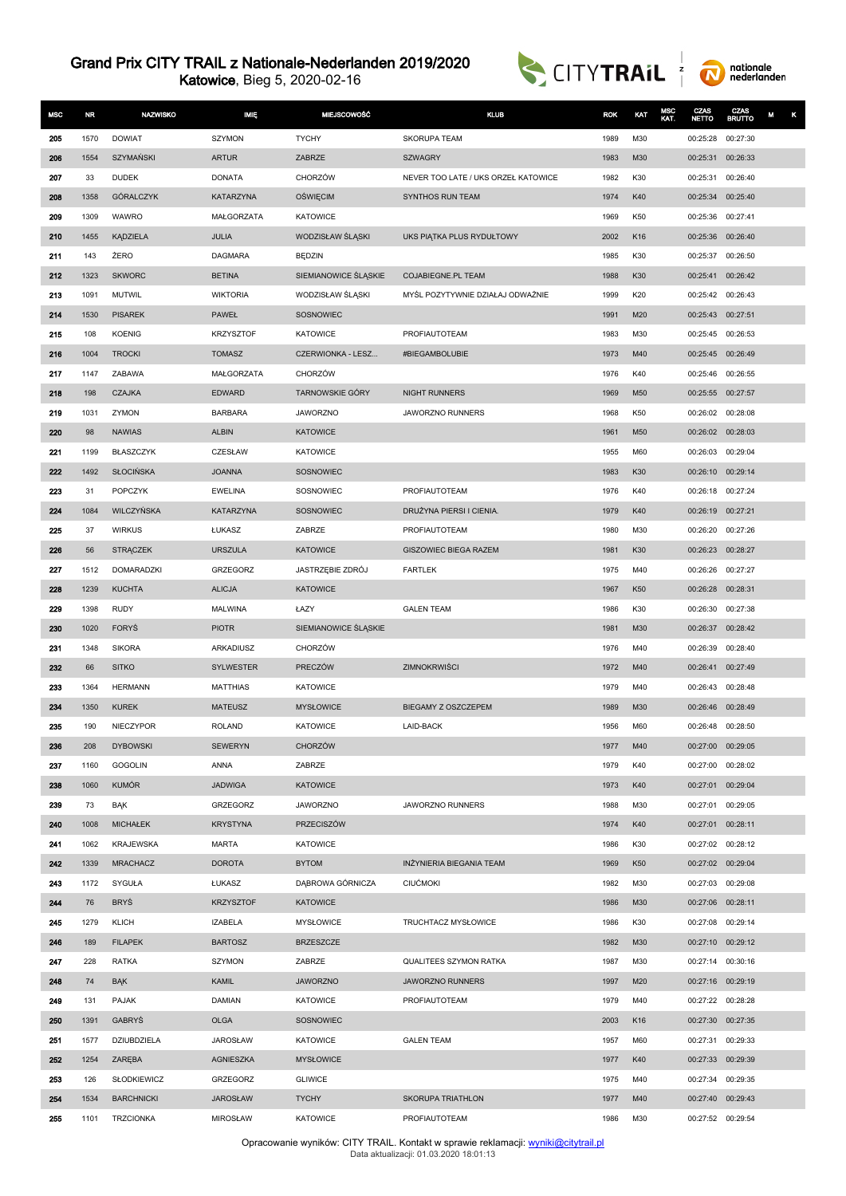Katowice, Bieg 5, 2020-02-16





| <b>MSC</b> | <b>NR</b> | <b>NAZWISKO</b>   | <b>IMIE</b>      | <b>MIEJSCOWOŚĆ</b>     | <b>KLUB</b>                         | <b>ROK</b> | KAT | MSC<br>KAT. | CZAS<br>МЕТТО     | CZAS<br><b>BRUTTO</b> | κ<br>M |
|------------|-----------|-------------------|------------------|------------------------|-------------------------------------|------------|-----|-------------|-------------------|-----------------------|--------|
| 205        | 1570      | <b>DOWIAT</b>     | <b>SZYMON</b>    | <b>TYCHY</b>           | <b>SKORUPA TEAM</b>                 | 1989       | M30 |             | 00:25:28          | 00:27:30              |        |
| 206        | 1554      | <b>SZYMAŃSKI</b>  | <b>ARTUR</b>     | ZABRZE                 | <b>SZWAGRY</b>                      | 1983       | M30 |             | 00:25:31          | 00:26:33              |        |
| 207        | 33        | <b>DUDEK</b>      | <b>DONATA</b>    | CHORZÓW                | NEVER TOO LATE / UKS ORZEŁ KATOWICE | 1982       | K30 |             | 00:25:31          | 00:26:40              |        |
| 208        | 1358      | GÓRALCZYK         | <b>KATARZYNA</b> | <b>OSWIĘCIM</b>        | SYNTHOS RUN TEAM                    | 1974       | K40 |             | 00:25:34          | 00:25:40              |        |
| 209        | 1309      | WAWRO             | MAŁGORZATA       | <b>KATOWICE</b>        |                                     | 1969       | K50 |             | 00:25:36          | 00:27:41              |        |
| 210        | 1455      | KĄDZIELA          | <b>JULIA</b>     | WODZISŁAW ŚLĄSKI       | UKS PIĄTKA PLUS RYDUŁTOWY           | 2002       | K16 |             | 00:25:36          | 00:26:40              |        |
| 211        | 143       | ŻERO              | <b>DAGMARA</b>   | BĘDZIN                 |                                     | 1985       | K30 |             | 00:25:37          | 00:26:50              |        |
| 212        | 1323      | <b>SKWORC</b>     | <b>BETINA</b>    | SIEMIANOWICE ŚLĄSKIE   | COJABIEGNE.PL TEAM                  | 1988       | K30 |             | 00:25:41          | 00:26:42              |        |
| 213        | 1091      | MUTWIL            | <b>WIKTORIA</b>  | WODZISŁAW ŚLASKI       | MYŚL POZYTYWNIE DZIAŁAJ ODWAŻNIE    | 1999       | K20 |             | 00:25:42          | 00:26:43              |        |
| 214        | 1530      | <b>PISAREK</b>    | <b>PAWEŁ</b>     | SOSNOWIEC              |                                     | 1991       | M20 |             | 00:25:43          | 00:27:51              |        |
| 215        | 108       | <b>KOENIG</b>     | <b>KRZYSZTOF</b> | <b>KATOWICE</b>        | PROFIAUTOTEAM                       | 1983       | M30 |             | 00:25:45          | 00:26:53              |        |
| 216        | 1004      | <b>TROCKI</b>     | <b>TOMASZ</b>    | CZERWIONKA - LESZ      | #BIEGAMBOLUBIE                      | 1973       | M40 |             | 00:25:45          | 00:26:49              |        |
| 217        | 1147      | ZABAWA            | MAŁGORZATA       | <b>CHORZÓW</b>         |                                     | 1976       | K40 |             | 00:25:46          | 00:26:55              |        |
| 218        | 198       | <b>CZAJKA</b>     | <b>EDWARD</b>    | <b>TARNOWSKIE GÓRY</b> | <b>NIGHT RUNNERS</b>                | 1969       | M50 |             | 00:25:55          | 00:27:57              |        |
| 219        | 1031      | ZYMON             | <b>BARBARA</b>   | <b>JAWORZNO</b>        | JAWORZNO RUNNERS                    | 1968       | K50 |             | 00:26:02          | 00:28:08              |        |
| 220        | 98        | <b>NAWIAS</b>     | <b>ALBIN</b>     | <b>KATOWICE</b>        |                                     | 1961       | M50 |             | 00:26:02          | 00:28:03              |        |
| 221        | 1199      | <b>BŁASZCZYK</b>  | CZESŁAW          | <b>KATOWICE</b>        |                                     | 1955       | M60 |             | 00:26:03          | 00:29:04              |        |
| 222        | 1492      | <b>SŁOCIŃSKA</b>  | <b>JOANNA</b>    | SOSNOWIEC              |                                     | 1983       | K30 |             | 00:26:10          | 00:29:14              |        |
| 223        | 31        | POPCZYK           | <b>EWELINA</b>   | SOSNOWIEC              | PROFIAUTOTEAM                       | 1976       | K40 |             | 00:26:18          | 00:27:24              |        |
| 224        | 1084      | <b>WILCZYŃSKA</b> | <b>KATARZYNA</b> | SOSNOWIEC              | DRUŻYNA PIERSI I CIENIA.            | 1979       | K40 |             | 00:26:19          | 00:27:21              |        |
| 225        | 37        | <b>WIRKUS</b>     | ŁUKASZ           | ZABRZE                 | PROFIAUTOTEAM                       | 1980       | M30 |             | 00:26:20          | 00:27:26              |        |
| 226        | 56        | <b>STRĄCZEK</b>   | <b>URSZULA</b>   | <b>KATOWICE</b>        | <b>GISZOWIEC BIEGA RAZEM</b>        | 1981       | K30 |             | 00:26:23          | 00:28:27              |        |
| 227        | 1512      | DOMARADZKI        | GRZEGORZ         | JASTRZĘBIE ZDRÓJ       | <b>FARTLEK</b>                      | 1975       | M40 |             | 00:26:26          | 00:27:27              |        |
| 228        | 1239      | <b>KUCHTA</b>     | <b>ALICJA</b>    | <b>KATOWICE</b>        |                                     | 1967       | K50 |             | 00:26:28          | 00:28:31              |        |
| 229        | 1398      | <b>RUDY</b>       | <b>MALWINA</b>   | ŁAZY                   | <b>GALEN TEAM</b>                   | 1986       | K30 |             | 00:26:30          | 00:27:38              |        |
| 230        | 1020      | <b>FORYS</b>      | <b>PIOTR</b>     | SIEMIANOWICE ŚLĄSKIE   |                                     | 1981       | M30 |             | 00:26:37          | 00:28:42              |        |
| 231        | 1348      | <b>SIKORA</b>     | ARKADIUSZ        | CHORZÓW                |                                     | 1976       | M40 |             | 00:26:39          | 00:28:40              |        |
| 232        | 66        | <b>SITKO</b>      | <b>SYLWESTER</b> | PRECZÓW                | ZIMNOKRWIŚCI                        | 1972       | M40 |             | 00:26:41          | 00:27:49              |        |
| 233        | 1364      | <b>HERMANN</b>    | <b>MATTHIAS</b>  | <b>KATOWICE</b>        |                                     | 1979       | M40 |             | 00:26:43          | 00:28:48              |        |
| 234        | 1350      | <b>KUREK</b>      | <b>MATEUSZ</b>   | <b>MYSŁOWICE</b>       | BIEGAMY Z OSZCZEPEM                 | 1989       | M30 |             | 00:26:46          | 00:28:49              |        |
| 235        | 190       | NIECZYPOR         | <b>ROLAND</b>    | <b>KATOWICE</b>        | <b>LAID-BACK</b>                    | 1956       | M60 |             | 00:26:48          | 00:28:50              |        |
| 236        | 208       | <b>DYBOWSKI</b>   | <b>SEWERYN</b>   | <b>CHORZÓW</b>         |                                     | 1977       | M40 |             | 00:27:00 00:29:05 |                       |        |
| 237        | 1160      | <b>GOGOLIN</b>    | ANNA             | ZABRZE                 |                                     | 1979       | K40 |             | 00:27:00          | 00:28:02              |        |
| 238        | 1060      | <b>KUMÓR</b>      | <b>JADWIGA</b>   | <b>KATOWICE</b>        |                                     | 1973       | K40 |             | 00:27:01          | 00:29:04              |        |
| 239        | 73        | BĄK               | <b>GRZEGORZ</b>  | <b>JAWORZNO</b>        | JAWORZNO RUNNERS                    | 1988       | M30 |             | 00:27:01          | 00:29:05              |        |
| 240        | 1008      | <b>MICHAŁEK</b>   | <b>KRYSTYNA</b>  | PRZECISZÓW             |                                     | 1974       | K40 |             | 00:27:01          | 00:28:11              |        |
| 241        | 1062      | <b>KRAJEWSKA</b>  | <b>MARTA</b>     | <b>KATOWICE</b>        |                                     | 1986       | K30 |             | 00:27:02 00:28:12 |                       |        |
| 242        | 1339      | <b>MRACHACZ</b>   | <b>DOROTA</b>    | <b>BYTOM</b>           | <b>INŻYNIERIA BIEGANIA TEAM</b>     | 1969       | K50 |             | 00:27:02 00:29:04 |                       |        |
| 243        | 1172      | SYGUŁA            | ŁUKASZ           | DĄBROWA GÓRNICZA       | <b>CIUĆMOKI</b>                     | 1982       | M30 |             | 00:27:03 00:29:08 |                       |        |
| 244        | 76        | <b>BRYŚ</b>       | <b>KRZYSZTOF</b> | <b>KATOWICE</b>        |                                     | 1986       | M30 |             | 00:27:06 00:28:11 |                       |        |
| 245        | 1279      | <b>KLICH</b>      | <b>IZABELA</b>   | <b>MYSŁOWICE</b>       | TRUCHTACZ MYSŁOWICE                 | 1986       | K30 |             | 00:27:08          | 00:29:14              |        |
| 246        | 189       | <b>FILAPEK</b>    | <b>BARTOSZ</b>   | <b>BRZESZCZE</b>       |                                     | 1982       | M30 |             | 00:27:10 00:29:12 |                       |        |
| 247        | 228       | <b>RATKA</b>      | SZYMON           | ZABRZE                 | QUALITEES SZYMON RATKA              | 1987       | M30 |             | 00:27:14 00:30:16 |                       |        |
| 248        | 74        | <b>BAK</b>        | <b>KAMIL</b>     | <b>JAWORZNO</b>        | JAWORZNO RUNNERS                    | 1997       | M20 |             | 00:27:16 00:29:19 |                       |        |
| 249        | 131       | <b>PAJAK</b>      | <b>DAMIAN</b>    | <b>KATOWICE</b>        | PROFIAUTOTEAM                       | 1979       | M40 |             | 00:27:22 00:28:28 |                       |        |
| 250        | 1391      | <b>GABRYS</b>     | <b>OLGA</b>      | SOSNOWIEC              |                                     | 2003       | K16 |             | 00:27:30          | 00:27:35              |        |
| 251        | 1577      | DZIUBDZIELA       | <b>JAROSŁAW</b>  | <b>KATOWICE</b>        | <b>GALEN TEAM</b>                   | 1957       | M60 |             | 00:27:31          | 00:29:33              |        |
| 252        | 1254      | ZARĘBA            | <b>AGNIESZKA</b> | <b>MYSŁOWICE</b>       |                                     | 1977       | K40 |             | 00:27:33          | 00:29:39              |        |
| 253        | 126       | SŁODKIEWICZ       | GRZEGORZ         | <b>GLIWICE</b>         |                                     | 1975       | M40 |             | 00:27:34          | 00:29:35              |        |
| 254        | 1534      | <b>BARCHNICKI</b> | <b>JAROSŁAW</b>  | <b>TYCHY</b>           | <b>SKORUPA TRIATHLON</b>            | 1977       | M40 |             | 00:27:40 00:29:43 |                       |        |
| 255        | 1101      | <b>TRZCIONKA</b>  | <b>MIROSŁAW</b>  | <b>KATOWICE</b>        | PROFIAUTOTEAM                       | 1986       | M30 |             | 00:27:52 00:29:54 |                       |        |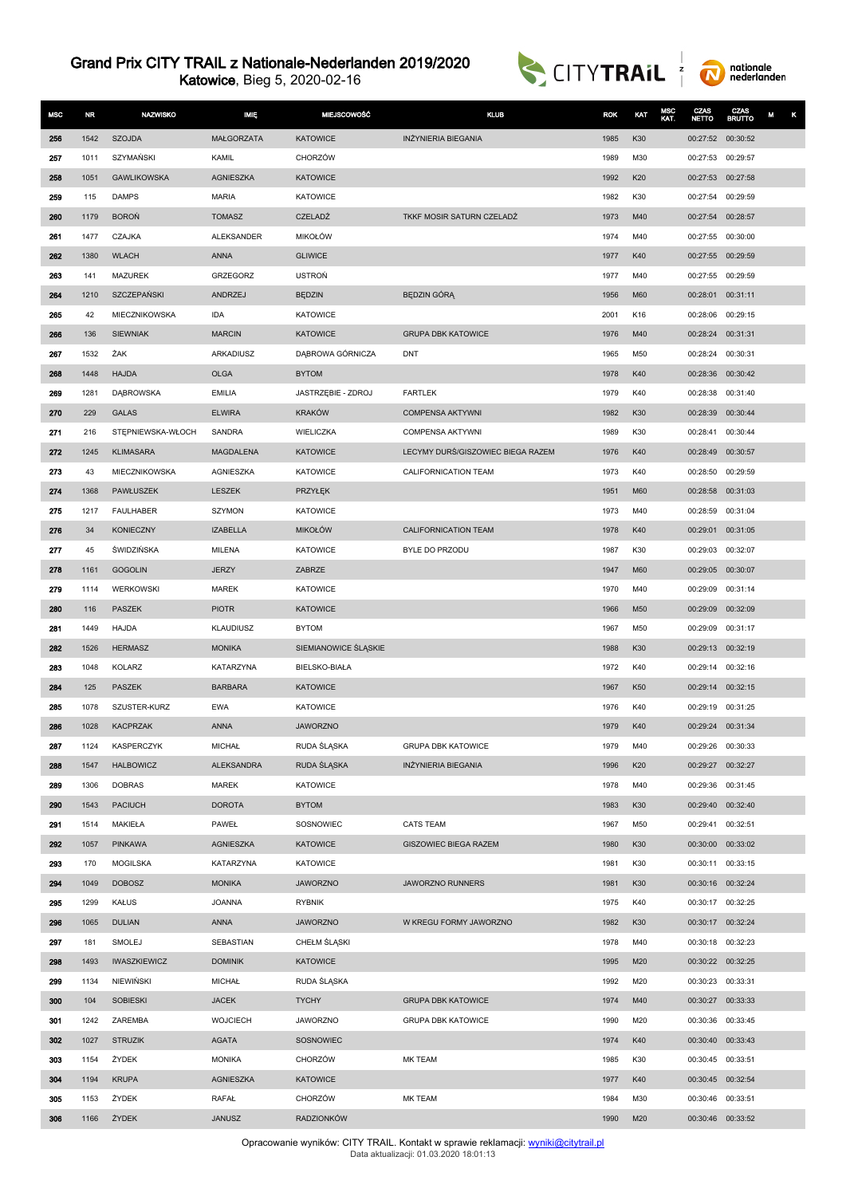Katowice, Bieg 5, 2020-02-16





| <b>MSC</b> | NR.          | <b>NAZWISKO</b>          | <b>MIE</b>                 | <b>MIEJSCOWOŚĆ</b>                   | <b>KLUB</b>                       | <b>ROK</b>   | KAT        | MSC<br>KAT. | CZAS<br><b>NETTO</b>          | CZAS<br><b>BRUTTO</b> | М<br>κ |
|------------|--------------|--------------------------|----------------------------|--------------------------------------|-----------------------------------|--------------|------------|-------------|-------------------------------|-----------------------|--------|
| 256        | 1542         | <b>SZOJDA</b>            | MAŁGORZATA                 | <b>KATOWICE</b>                      | INŻYNIERIA BIEGANIA               | 1985         | K30        |             | 00:27:52 00:30:52             |                       |        |
| 257        | 1011         | SZYMAŃSKI                | <b>KAMIL</b>               | <b>CHORZÓW</b>                       |                                   | 1989         | M30        |             | 00:27:53                      | 00:29:57              |        |
| 258        | 1051         | <b>GAWLIKOWSKA</b>       | <b>AGNIESZKA</b>           | <b>KATOWICE</b>                      |                                   | 1992         | K20        |             | 00:27:53                      | 00:27:58              |        |
| 259        | 115          | <b>DAMPS</b>             | <b>MARIA</b>               | <b>KATOWICE</b>                      |                                   | 1982         | K30        |             | 00:27:54                      | 00:29:59              |        |
| 260        | 1179         | <b>BOROŃ</b>             | <b>TOMASZ</b>              | CZELADŹ                              | TKKF MOSIR SATURN CZELADŹ         | 1973         | M40        |             | 00:27:54                      | 00:28:57              |        |
| 261        | 1477         | CZAJKA                   | <b>ALEKSANDER</b>          | <b>MIKOŁÓW</b>                       |                                   | 1974         | M40        |             | 00:27:55 00:30:00             |                       |        |
| 262        | 1380         | <b>WLACH</b>             | <b>ANNA</b>                | <b>GLIWICE</b>                       |                                   | 1977         | K40        |             | 00:27:55                      | 00:29:59              |        |
| 263        | 141          | <b>MAZUREK</b>           | GRZEGORZ                   | <b>USTROŃ</b>                        |                                   | 1977         | M40        |             | 00:27:55                      | 00:29:59              |        |
| 264        | 1210         | SZCZEPAŃSKI              | ANDRZEJ                    | <b>BEDZIN</b>                        | BEDZIN GÓRA                       | 1956         | M60        |             | 00:28:01                      | 00:31:11              |        |
| 265        | 42           | MIECZNIKOWSKA            | <b>IDA</b>                 | <b>KATOWICE</b>                      |                                   | 2001         | K16        |             | 00:28:06                      | 00:29:15              |        |
| 266        | 136          | <b>SIEWNIAK</b>          | <b>MARCIN</b>              | <b>KATOWICE</b>                      | <b>GRUPA DBK KATOWICE</b>         | 1976         | M40        |             | 00:28:24                      | 00:31:31              |        |
| 267        | 1532         | ŻAK                      | ARKADIUSZ                  | DĄBROWA GÓRNICZA                     | <b>DNT</b>                        | 1965         | M50        |             | 00:28:24                      | 00:30:31              |        |
| 268        | 1448         | <b>HAJDA</b>             | <b>OLGA</b>                | <b>BYTOM</b>                         |                                   | 1978         | K40        |             | 00:28:36                      | 00:30:42              |        |
| 269        | 1281         | <b>DABROWSKA</b>         | <b>EMILIA</b>              | JASTRZĘBIE - ZDROJ                   | <b>FARTLEK</b>                    | 1979         | K40        |             | 00:28:38                      | 00:31:40              |        |
| 270        | 229          | GALAS                    | <b>ELWIRA</b>              | <b>KRAKÓW</b>                        | <b>COMPENSA AKTYWNI</b>           | 1982         | K30        |             | 00:28:39                      | 00:30:44              |        |
| 271        | 216          | STEPNIEWSKA-WŁOCH        | SANDRA                     | WIELICZKA                            | <b>COMPENSA AKTYWNI</b>           | 1989         | K30        |             | 00:28:41                      | 00:30:44              |        |
| 272        | 1245         | <b>KLIMASARA</b>         | MAGDALENA                  | <b>KATOWICE</b>                      | LECYMY DURŚ/GISZOWIEC BIEGA RAZEM | 1976         | K40        |             | 00:28:49                      | 00:30:57              |        |
| 273        | 43           | MIECZNIKOWSKA            | <b>AGNIESZKA</b>           | <b>KATOWICE</b>                      | CALIFORNICATION TEAM              | 1973         | K40        |             | 00:28:50                      | 00:29:59              |        |
| 274        | 1368         | PAWŁUSZEK                | <b>LESZEK</b>              | PRZYŁĘK                              |                                   | 1951         | M60        |             | 00:28:58                      | 00:31:03              |        |
| 275        | 1217         | FAULHABER                | SZYMON                     | KATOWICE                             |                                   | 1973         | M40        |             | 00:28:59                      | 00:31:04              |        |
| 276        | 34           | <b>KONIECZNY</b>         | <b>IZABELLA</b>            | <b>MIKOŁÓW</b>                       | CALIFORNICATION TEAM              | 1978         | K40        |             | 00:29:01                      | 00:31:05              |        |
| 277        | 45           | <b>ŚWIDZIŃSKA</b>        | MILENA                     | <b>KATOWICE</b>                      | BYLE DO PRZODU                    | 1987         | K30        |             | 00:29:03                      | 00:32:07              |        |
| 278        | 1161         | <b>GOGOLIN</b>           | <b>JERZY</b>               | ZABRZE                               |                                   | 1947         | M60        |             | 00:29:05                      | 00:30:07              |        |
| 279        | 1114         | WERKOWSKI                | <b>MAREK</b>               | <b>KATOWICE</b>                      |                                   | 1970         | M40        |             | 00:29:09 00:31:14             |                       |        |
| 280        | 116          | PASZEK                   | <b>PIOTR</b>               | <b>KATOWICE</b>                      |                                   | 1966         | M50        |             | 00:29:09                      | 00:32:09              |        |
| 281        | 1449         | HAJDA                    | KLAUDIUSZ                  | <b>BYTOM</b><br>SIEMIANOWICE ŚLĄSKIE |                                   | 1967         | M50<br>K30 |             | 00:29:09                      | 00:31:17              |        |
| 282<br>283 | 1526<br>1048 | <b>HERMASZ</b><br>KOLARZ | <b>MONIKA</b><br>KATARZYNA | <b>BIELSKO-BIAŁA</b>                 |                                   | 1988<br>1972 | K40        |             | 00:29:13 00:32:19<br>00:29:14 | 00:32:16              |        |
| 284        | 125          | <b>PASZEK</b>            | <b>BARBARA</b>             | <b>KATOWICE</b>                      |                                   | 1967         | K50        |             | 00:29:14 00:32:15             |                       |        |
| 285        | 1078         | SZUSTER-KURZ             | <b>EWA</b>                 | <b>KATOWICE</b>                      |                                   | 1976         | K40        |             | 00:29:19                      | 00:31:25              |        |
| 286        | 1028         | <b>KACPRZAK</b>          | <b>ANNA</b>                | <b>JAWORZNO</b>                      |                                   | 1979         | K40        |             | 00:29:24 00:31:34             |                       |        |
| 287        | 1124         | KASPERCZYK               | <b>MICHAŁ</b>              | RUDA ŚLĄSKA                          | <b>GRUPA DBK KATOWICE</b>         | 1979         | M40        |             | 00:29:26 00:30:33             |                       |        |
| 288        | 1547         | <b>HALBOWICZ</b>         | <b>ALEKSANDRA</b>          | RUDA ŚLĄSKA                          | <b>INŻYNIERIA BIEGANIA</b>        | 1996         | K20        |             | 00:29:27                      | 00:32:27              |        |
| 289        | 1306         | <b>DOBRAS</b>            | <b>MAREK</b>               | <b>KATOWICE</b>                      |                                   | 1978         | M40        |             | 00:29:36 00:31:45             |                       |        |
| 290        | 1543         | PACIUCH                  | <b>DOROTA</b>              | <b>BYTOM</b>                         |                                   | 1983         | K30        |             | 00:29:40 00:32:40             |                       |        |
| 291        | 1514         | MAKIEŁA                  | PAWEŁ                      | SOSNOWIEC                            | <b>CATS TEAM</b>                  | 1967         | M50        |             | 00:29:41 00:32:51             |                       |        |
| 292        | 1057         | PINKAWA                  | <b>AGNIESZKA</b>           | <b>KATOWICE</b>                      | <b>GISZOWIEC BIEGA RAZEM</b>      | 1980         | K30        |             | 00:30:00 00:33:02             |                       |        |
| 293        | 170          | <b>MOGILSKA</b>          | KATARZYNA                  | <b>KATOWICE</b>                      |                                   | 1981         | K30        |             | 00:30:11 00:33:15             |                       |        |
| 294        | 1049         | <b>DOBOSZ</b>            | <b>MONIKA</b>              | <b>JAWORZNO</b>                      | <b>JAWORZNO RUNNERS</b>           | 1981         | K30        |             | 00:30:16 00:32:24             |                       |        |
| 295        | 1299         | <b>KAŁUS</b>             | <b>JOANNA</b>              | <b>RYBNIK</b>                        |                                   | 1975         | K40        |             | 00:30:17 00:32:25             |                       |        |
| 296        | 1065         | <b>DULIAN</b>            | <b>ANNA</b>                | <b>JAWORZNO</b>                      | W KREGU FORMY JAWORZNO            | 1982         | K30        |             | 00:30:17 00:32:24             |                       |        |
| 297        | 181          | SMOLEJ                   | SEBASTIAN                  | CHEŁM ŚLĄSKI                         |                                   | 1978         | M40        |             | 00:30:18 00:32:23             |                       |        |
| 298        | 1493         | <b>IWASZKIEWICZ</b>      | <b>DOMINIK</b>             | <b>KATOWICE</b>                      |                                   | 1995         | M20        |             | 00:30:22 00:32:25             |                       |        |
| 299        | 1134         | NIEWIŃSKI                | <b>MICHAŁ</b>              | RUDA ŚLĄSKA                          |                                   | 1992         | M20        |             | 00:30:23 00:33:31             |                       |        |
| 300        | 104          | <b>SOBIESKI</b>          | <b>JACEK</b>               | <b>TYCHY</b>                         | <b>GRUPA DBK KATOWICE</b>         | 1974         | M40        |             | 00:30:27                      | 00:33:33              |        |
| 301        | 1242         | ZAREMBA                  | <b>WOJCIECH</b>            | <b>JAWORZNO</b>                      | <b>GRUPA DBK KATOWICE</b>         | 1990         | M20        |             | 00:30:36 00:33:45             |                       |        |
| 302        | 1027         | <b>STRUZIK</b>           | <b>AGATA</b>               | SOSNOWIEC                            |                                   | 1974         | K40        |             | 00:30:40 00:33:43             |                       |        |
| 303        | 1154         | ŻYDEK                    | <b>MONIKA</b>              | CHORZÓW                              | MK TEAM                           | 1985         | K30        |             | 00:30:45 00:33:51             |                       |        |
| 304        | 1194         | <b>KRUPA</b>             | <b>AGNIESZKA</b>           | <b>KATOWICE</b>                      |                                   | 1977         | K40        |             | 00:30:45 00:32:54             |                       |        |
| 305        | 1153         | ŻYDEK                    | RAFAŁ                      | CHORZÓW                              | MK TEAM                           | 1984         | M30        |             | 00:30:46 00:33:51             |                       |        |
| 306        | 1166         | ŻYDEK                    | <b>JANUSZ</b>              | RADZIONKÓW                           |                                   | 1990         | M20        |             | 00:30:46 00:33:52             |                       |        |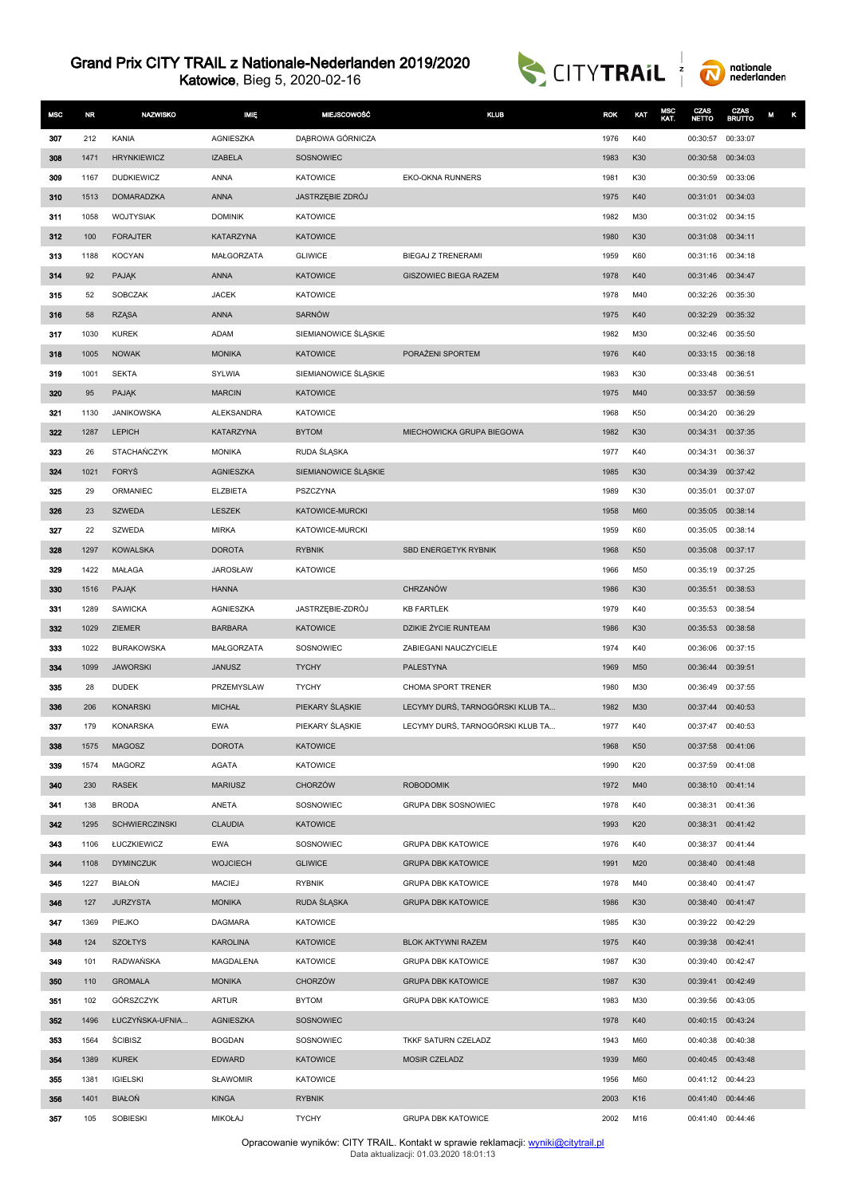Katowice, Bieg 5, 2020-02-16





| <b>MSC</b> | NR           | <b>NAZWISKO</b>       | <b>IMIE</b>                      | <b>MIEJSCOWOŚĆ</b>               | <b>KLUB</b>                      | <b>ROK</b>   | KAT        | MSC<br>KAT. | CZAS<br><b>NETTO</b>                   | CZAS<br><b>BRUTTO</b> | M |
|------------|--------------|-----------------------|----------------------------------|----------------------------------|----------------------------------|--------------|------------|-------------|----------------------------------------|-----------------------|---|
| 307        | 212          | KANIA                 | AGNIESZKA                        | DĄBROWA GÓRNICZA                 |                                  | 1976         | K40        |             | 00:30:57                               | 00:33:07              |   |
| 308        | 1471         | <b>HRYNKIEWICZ</b>    | <b>IZABELA</b>                   | SOSNOWIEC                        |                                  | 1983         | K30        |             | 00:30:58 00:34:03                      |                       |   |
| 309        | 1167         | <b>DUDKIEWICZ</b>     | ANNA                             | <b>KATOWICE</b>                  | <b>EKO-OKNA RUNNERS</b>          | 1981         | K30        |             | 00:30:59                               | 00:33:06              |   |
| 310        | 1513         | <b>DOMARADZKA</b>     | <b>ANNA</b>                      | JASTRZĘBIE ZDRÓJ                 |                                  | 1975         | K40        |             | 00:31:01                               | 00:34:03              |   |
| 311        | 1058         | <b>WOJTYSIAK</b>      | <b>DOMINIK</b>                   | <b>KATOWICE</b>                  |                                  | 1982         | M30        |             | 00:31:02 00:34:15                      |                       |   |
| 312        | 100          | <b>FORAJTER</b>       | <b>KATARZYNA</b>                 | <b>KATOWICE</b>                  |                                  | 1980         | K30        |             | 00:31:08 00:34:11                      |                       |   |
| 313        | 1188         | <b>KOCYAN</b>         | MAŁGORZATA                       | <b>GLIWICE</b>                   | BIEGAJ Z TRENERAMI               | 1959         | K60        |             | 00:31:16 00:34:18                      |                       |   |
| 314        | 92           | <b>PAJAK</b>          | <b>ANNA</b>                      | <b>KATOWICE</b>                  | <b>GISZOWIEC BIEGA RAZEM</b>     | 1978         | K40        |             | 00:31:46 00:34:47                      |                       |   |
| 315        | 52           | SOBCZAK               | <b>JACEK</b>                     | <b>KATOWICE</b>                  |                                  | 1978         | M40        |             | 00:32:26 00:35:30                      |                       |   |
| 316        | 58           | <b>RZĄSA</b>          | <b>ANNA</b>                      | SARNÓW                           |                                  | 1975         | K40        |             | 00:32:29 00:35:32                      |                       |   |
| 317        | 1030         | <b>KUREK</b>          | ADAM                             | SIEMIANOWICE ŚLĄSKIE             |                                  | 1982         | M30        |             | 00:32:46                               | 00:35:50              |   |
| 318        | 1005         | <b>NOWAK</b>          | <b>MONIKA</b>                    | <b>KATOWICE</b>                  | PORAŽENI SPORTEM                 | 1976         | K40        |             | 00:33:15 00:36:18                      |                       |   |
| 319        | 1001         | <b>SEKTA</b>          | SYLWIA                           | SIEMIANOWICE ŚLĄSKIE             |                                  | 1983         | K30        |             | 00:33:48                               | 00:36:51              |   |
| 320        | 95           | PAJĄK                 | <b>MARCIN</b>                    | <b>KATOWICE</b>                  |                                  | 1975         | M40        |             | 00:33:57                               | 00:36:59              |   |
| 321        | 1130         | <b>JANIKOWSKA</b>     | <b>ALEKSANDRA</b>                | KATOWICE                         |                                  | 1968         | K50        |             | 00:34:20                               | 00:36:29              |   |
| 322        | 1287         | <b>LEPICH</b>         | KATARZYNA                        | <b>BYTOM</b>                     | MIECHOWICKA GRUPA BIEGOWA        | 1982         | K30        |             | 00:34:31                               | 00:37:35              |   |
| 323        | 26           | STACHAŃCZYK           | <b>MONIKA</b>                    | RUDA ŚLĄSKA                      |                                  | 1977         | K40        |             | 00:34:31                               | 00:36:37              |   |
| 324        | 1021         | <b>FORYS</b>          | <b>AGNIESZKA</b>                 | SIEMIANOWICE ŚLĄSKIE             |                                  | 1985         | K30        |             | 00:34:39                               | 00:37:42              |   |
| 325        | 29           | ORMANIEC              | <b>ELZBIETA</b>                  | PSZCZYNA                         |                                  | 1989         | K30        |             | 00:35:01                               | 00:37:07              |   |
| 326        | 23           | <b>SZWEDA</b>         | LESZEK                           | KATOWICE-MURCKI                  |                                  | 1958         | M60        |             | 00:35:05 00:38:14                      |                       |   |
| 327        | 22           | SZWEDA                | <b>MIRKA</b>                     | KATOWICE-MURCKI                  |                                  | 1959         | K60        |             | 00:35:05                               | 00:38:14              |   |
| 328        | 1297<br>1422 | <b>KOWALSKA</b>       | <b>DOROTA</b><br><b>JAROSŁAW</b> | <b>RYBNIK</b><br><b>KATOWICE</b> | SBD ENERGETYK RYBNIK             | 1968<br>1966 | K50<br>M50 |             | 00:35:08 00:37:17<br>00:35:19 00:37:25 |                       |   |
| 329<br>330 | 1516         | MAŁAGA<br>PAJĄK       | <b>HANNA</b>                     |                                  | CHRZANÓW                         | 1986         | K30        |             | 00:35:51                               | 00:38:53              |   |
| 331        | 1289         | <b>SAWICKA</b>        | AGNIESZKA                        | JASTRZĘBIE-ZDRÓJ                 | <b>KB FARTLEK</b>                | 1979         | K40        |             | 00:35:53                               | 00:38:54              |   |
| 332        | 1029         | ZIEMER                | <b>BARBARA</b>                   | <b>KATOWICE</b>                  | DZIKIE ŻYCIE RUNTEAM             | 1986         | K30        |             | 00:35:53                               | 00:38:58              |   |
| 333        | 1022         | <b>BURAKOWSKA</b>     | MAŁGORZATA                       | SOSNOWIEC                        | ZABIEGANI NAUCZYCIELE            | 1974         | K40        |             | 00:36:06                               | 00:37:15              |   |
| 334        | 1099         | <b>JAWORSKI</b>       | <b>JANUSZ</b>                    | <b>TYCHY</b>                     | <b>PALESTYNA</b>                 | 1969         | M50        |             | 00:36:44                               | 00:39:51              |   |
| 335        | 28           | <b>DUDEK</b>          | PRZEMYSLAW                       | <b>TYCHY</b>                     | CHOMA SPORT TRENER               | 1980         | M30        |             | 00:36:49 00:37:55                      |                       |   |
| 336        | 206          | <b>KONARSKI</b>       | <b>MICHAŁ</b>                    | PIEKARY ŚLĄSKIE                  | LECYMY DURŚ, TARNOGÓRSKI KLUB TA | 1982         | M30        |             | 00:37:44 00:40:53                      |                       |   |
| 337        | 179          | <b>KONARSKA</b>       | <b>EWA</b>                       | PIEKARY SLĄSKIE                  | LECYMY DURŚ, TARNOGÓRSKI KLUB TA | 1977         | K40        |             | 00:37:47 00:40:53                      |                       |   |
| 338        | 1575         | <b>MAGOSZ</b>         | <b>DOROTA</b>                    | <b>KATOWICE</b>                  |                                  | 1968         | K50        |             | 00:37:58 00:41:06                      |                       |   |
| 339        | 1574         | <b>MAGORZ</b>         | AGATA                            | <b>KATOWICE</b>                  |                                  | 1990         | K20        |             | 00:37:59 00:41:08                      |                       |   |
| 340        | 230          | <b>RASEK</b>          | <b>MARIUSZ</b>                   | <b>CHORZÓW</b>                   | <b>ROBODOMIK</b>                 | 1972         | M40        |             | 00:38:10 00:41:14                      |                       |   |
| 341        | 138          | <b>BRODA</b>          | ANETA                            | SOSNOWIEC                        | GRUPA DBK SOSNOWIEC              | 1978         | K40        |             | 00:38:31 00:41:36                      |                       |   |
| 342        | 1295         | <b>SCHWIERCZINSKI</b> | <b>CLAUDIA</b>                   | <b>KATOWICE</b>                  |                                  | 1993         | K20        |             | 00:38:31 00:41:42                      |                       |   |
| 343        | 1106         | ŁUCZKIEWICZ           | <b>EWA</b>                       | SOSNOWIEC                        | <b>GRUPA DBK KATOWICE</b>        | 1976         | K40        |             | 00:38:37                               | 00:41:44              |   |
| 344        | 1108         | <b>DYMINCZUK</b>      | <b>WOJCIECH</b>                  | <b>GLIWICE</b>                   | <b>GRUPA DBK KATOWICE</b>        | 1991         | M20        |             | 00:38:40 00:41:48                      |                       |   |
| 345        | 1227         | <b>BIAŁOŃ</b>         | <b>MACIEJ</b>                    | <b>RYBNIK</b>                    | <b>GRUPA DBK KATOWICE</b>        | 1978         | M40        |             | 00:38:40 00:41:47                      |                       |   |
| 346        | 127          | <b>JURZYSTA</b>       | <b>MONIKA</b>                    | RUDA ŚLĄSKA                      | <b>GRUPA DBK KATOWICE</b>        | 1986         | K30        |             | 00:38:40 00:41:47                      |                       |   |
| 347        | 1369         | PIEJKO                | <b>DAGMARA</b>                   | <b>KATOWICE</b>                  |                                  | 1985         | K30        |             | 00:39:22 00:42:29                      |                       |   |
| 348        | 124          | <b>SZOŁTYS</b>        | <b>KAROLINA</b>                  | <b>KATOWICE</b>                  | <b>BLOK AKTYWNI RAZEM</b>        | 1975         | K40        |             | 00:39:38 00:42:41                      |                       |   |
| 349        | 101          | RADWAŃSKA             | MAGDALENA                        | <b>KATOWICE</b>                  | <b>GRUPA DBK KATOWICE</b>        | 1987         | K30        |             | 00:39:40 00:42:47                      |                       |   |
| 350        | 110          | <b>GROMALA</b>        | <b>MONIKA</b>                    | <b>CHORZÓW</b>                   | <b>GRUPA DBK KATOWICE</b>        | 1987         | K30        |             | 00:39:41                               | 00:42:49              |   |
| 351        | 102          | GÓRSZCZYK             | <b>ARTUR</b>                     | <b>BYTOM</b>                     | <b>GRUPA DBK KATOWICE</b>        | 1983         | M30        |             | 00:39:56 00:43:05                      |                       |   |
| 352        | 1496         | ŁUCZYŃSKA-UFNIA       | <b>AGNIESZKA</b>                 | SOSNOWIEC                        |                                  | 1978         | K40        |             | 00:40:15 00:43:24                      |                       |   |
| 353        | 1564         | <b>SCIBISZ</b>        | <b>BOGDAN</b>                    | SOSNOWIEC                        | TKKF SATURN CZELADZ              | 1943         | M60        |             | 00:40:38 00:40:38                      |                       |   |
| 354        | 1389         | <b>KUREK</b>          | <b>EDWARD</b>                    | <b>KATOWICE</b>                  | MOSIR CZELADZ                    | 1939         | M60        |             | 00:40:45 00:43:48                      |                       |   |
| 355        | 1381         | <b>IGIELSKI</b>       | <b>SŁAWOMIR</b>                  | <b>KATOWICE</b>                  |                                  | 1956         | M60        |             | 00:41:12 00:44:23                      |                       |   |
| 356        | 1401         | <b>BIAŁOŃ</b>         | <b>KINGA</b>                     | <b>RYBNIK</b>                    |                                  | 2003         | K16        |             | 00:41:40 00:44:46                      |                       |   |
| 357        | 105          | SOBIESKI              | <b>MIKOŁAJ</b>                   | <b>TYCHY</b>                     | <b>GRUPA DBK KATOWICE</b>        | 2002         | M16        |             | 00:41:40 00:44:46                      |                       |   |